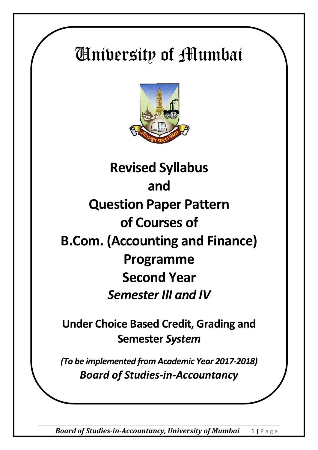# University of Mumbai



## **Revised Syllabus and Question Paper Pattern of Courses of B.Com. (Accounting and Finance) Programme Second Year**  *Semester III and IV*

**Under Choice Based Credit, Grading and Semester** *System*

*(To be implemented from Academic Year 2017-2018) Board of Studies-in-Accountancy*

*Board of Studies-in-Accountancy, University of Mumbai* 1 | Page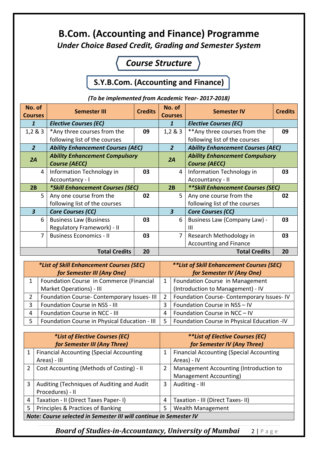#### **B.Com. (Accounting and Finance) Programme** *Under Choice Based Credit, Grading and Semester System*

#### *Course Structure*

#### **S.Y.B.Com. (Accounting and Finance)**

| No. of<br><b>Courses</b>                           | <b>Semester III</b>                      | <b>Credits</b> | No. of<br><b>Courses</b> | <b>Semester IV</b>                       | <b>Credits</b> |  |
|----------------------------------------------------|------------------------------------------|----------------|--------------------------|------------------------------------------|----------------|--|
| $\mathbf{1}$                                       | <b>Elective Courses (EC)</b>             |                | $\mathbf{1}$             | <b>Elective Courses (EC)</b>             |                |  |
| 1,2 & 3                                            | *Any three courses from the              | 09             | 1,283                    | ** Any three courses from the            | 09             |  |
|                                                    | following list of the courses            |                |                          | following list of the courses            |                |  |
| $\overline{2}$                                     | <b>Ability Enhancement Courses (AEC)</b> |                | $\overline{2}$           | <b>Ability Enhancement Courses (AEC)</b> |                |  |
| 2A                                                 | <b>Ability Enhancement Compulsory</b>    |                | 2A                       | <b>Ability Enhancement Compulsory</b>    |                |  |
|                                                    | <b>Course (AECC)</b>                     |                |                          | <b>Course (AECC)</b>                     |                |  |
| 4                                                  | Information Technology in                | 03             | 4                        | Information Technology in                | 03             |  |
|                                                    | Accountancy - I                          |                |                          | Accountancy - II                         |                |  |
| 2B                                                 | *Skill Enhancement Courses (SEC)         |                | 2B                       | <b>**Skill Enhancement Courses (SEC)</b> |                |  |
| 5                                                  | Any one course from the                  | 02             | 5                        | Any one course from the                  | 02             |  |
|                                                    | following list of the courses            |                |                          | following list of the courses            |                |  |
| $\overline{\mathbf{3}}$                            | <b>Core Courses (CC)</b>                 |                | $\overline{\mathbf{3}}$  | <b>Core Courses (CC)</b>                 |                |  |
| 6                                                  | <b>Business Law (Business</b>            | 03             | 6                        | <b>Business Law (Company Law) -</b>      | 03             |  |
|                                                    | Regulatory Framework) - II               |                |                          | Ш                                        |                |  |
| $\overline{7}$                                     | <b>Business Economics - II</b>           | 03             | $\overline{7}$           | Research Methodology in                  | 03             |  |
|                                                    |                                          |                |                          | Accounting and Finance                   |                |  |
| <b>Total Credits</b><br><b>Total Credits</b><br>20 |                                          | 20             |                          |                                          |                |  |

| (To be implemented from Academic Year-2017-2018) |  |  |
|--------------------------------------------------|--|--|
|--------------------------------------------------|--|--|

| *List of Skill Enhancement Courses (SEC)<br>for Semester III (Any One) |                       | <i>**List of Skill Enhancement Courses (SEC)</i><br>for Semester IV (Any One) |
|------------------------------------------------------------------------|-----------------------|-------------------------------------------------------------------------------|
| Foundation Course in Commerce (Financial                               | $1 \ \mathbf{ }$      | Foundation Course in Management                                               |
| Market Operations) - III                                               |                       | (Introduction to Management) - IV                                             |
| Foundation Course-Contemporary Issues-III                              | $\mathbf{2}^{\prime}$ | Foundation Course- Contemporary Issues-IV                                     |
| Foundation Course in NSS - III                                         | 3                     | Foundation Course in NSS - IV                                                 |
| <b>Foundation Course in NCC - III</b>                                  | 4                     | Foundation Course in NCC - IV                                                 |
| Foundation Course in Physical Education - III                          | 5.                    | Foundation Course in Physical Education -IV                                   |

| <i>*List of Elective Courses (EC)</i> |                                                                    | <i>**List of Elective Courses (EC)</i> |                                                 |  |
|---------------------------------------|--------------------------------------------------------------------|----------------------------------------|-------------------------------------------------|--|
|                                       | for Semester III (Any Three)                                       |                                        | for Semester IV (Any Three)                     |  |
| 1                                     | <b>Financial Accounting (Special Accounting</b>                    | 1                                      | <b>Financial Accounting (Special Accounting</b> |  |
|                                       | Areas) - III                                                       |                                        | Areas) - IV                                     |  |
| 2                                     | Cost Accounting (Methods of Costing) - II                          | $\overline{2}$                         | Management Accounting (Introduction to          |  |
|                                       |                                                                    |                                        | Management Accounting)                          |  |
| 3                                     | Auditing (Techniques of Auditing and Audit                         | 3                                      | Auditing - III                                  |  |
|                                       | Procedures) - II                                                   |                                        |                                                 |  |
| 4                                     | Taxation - II (Direct Taxes Paper- I)                              | 4                                      | Taxation - III (Direct Taxes- II)               |  |
| 5                                     | Principles & Practices of Banking                                  | 5                                      | <b>Wealth Management</b>                        |  |
|                                       | Note: Course selected in Semester III will continue in Semester IV |                                        |                                                 |  |

*Board of Studies-in-Accountancy, University of Mumbai* 2 | Page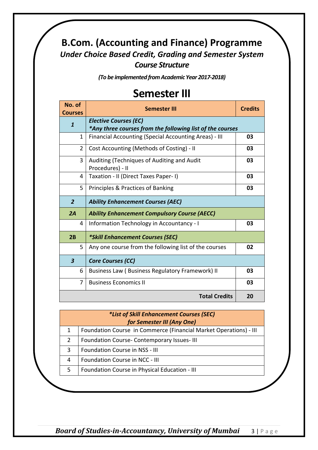#### **B.Com. (Accounting and Finance) Programme** *Under Choice Based Credit, Grading and Semester System Course Structure*

*(To be implemented from Academic Year 2017-2018)*

#### **Semester III**

| No. of<br><b>Courses</b> | <b>Semester III</b>                                                                       | <b>Credits</b> |
|--------------------------|-------------------------------------------------------------------------------------------|----------------|
| $\mathbf{1}$             | <b>Elective Courses (EC)</b><br>*Any three courses from the following list of the courses |                |
| 1                        | Financial Accounting (Special Accounting Areas) - III                                     | 03             |
| $\overline{2}$           | Cost Accounting (Methods of Costing) - II                                                 | 03             |
| 3                        | Auditing (Techniques of Auditing and Audit<br>Procedures) - II                            | 03             |
| 4                        | Taxation - II (Direct Taxes Paper- I)                                                     | 03             |
| 5                        | Principles & Practices of Banking                                                         | 03             |
| $\overline{2}$           | <b>Ability Enhancement Courses (AEC)</b>                                                  |                |
| 2A                       | <b>Ability Enhancement Compulsory Course (AECC)</b>                                       |                |
| 4                        | Information Technology in Accountancy - I                                                 | 03             |
| 2B                       | *Skill Enhancement Courses (SEC)                                                          |                |
| 5                        | Any one course from the following list of the courses                                     | 02             |
| $\overline{\mathbf{3}}$  | <b>Core Courses (CC)</b>                                                                  |                |
| 6                        | <b>Business Law (Business Regulatory Framework) II</b>                                    | 03             |
| 7                        | <b>Business Economics II</b>                                                              | 03             |
|                          | <b>Total Credits</b>                                                                      | 20             |

|   | <i>*List of Skill Enhancement Courses (SEC)</i><br>for Semester III (Any One) |  |  |
|---|-------------------------------------------------------------------------------|--|--|
| 1 | Foundation Course in Commerce (Financial Market Operations) - III             |  |  |
| 2 | Foundation Course-Contemporary Issues-III                                     |  |  |
| 3 | Foundation Course in NSS - III                                                |  |  |
| 4 | Foundation Course in NCC - III                                                |  |  |
| 5 | Foundation Course in Physical Education - III                                 |  |  |
|   |                                                                               |  |  |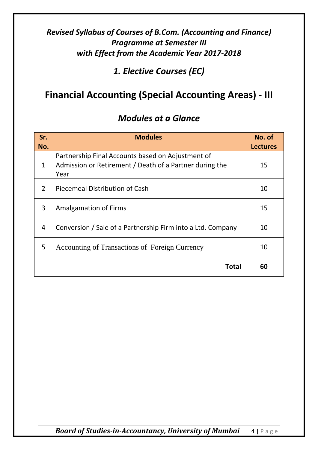*1. Elective Courses (EC)*

### **Financial Accounting (Special Accounting Areas) - III**

| Sr.<br>No. | <b>Modules</b>                                                                                                       | No. of<br><b>Lectures</b> |
|------------|----------------------------------------------------------------------------------------------------------------------|---------------------------|
| 1          | Partnership Final Accounts based on Adjustment of<br>Admission or Retirement / Death of a Partner during the<br>Year | 15                        |
| 2          | Piecemeal Distribution of Cash                                                                                       | 10                        |
| 3          | <b>Amalgamation of Firms</b>                                                                                         | 15                        |
| 4          | Conversion / Sale of a Partnership Firm into a Ltd. Company                                                          | 10                        |
| 5          | Accounting of Transactions of Foreign Currency                                                                       | 10                        |
|            | Total                                                                                                                | 60                        |

#### *Modules at a Glance*

*Board of Studies-in-Accountancy, University of Mumbai* 4 | Page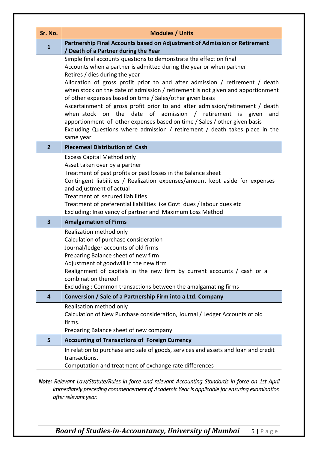| Sr. No.        | <b>Modules / Units</b>                                                                                                                                                                                                                                                                                                                                                                                                                                                                                                                                                                                                                                                                                                                       |  |
|----------------|----------------------------------------------------------------------------------------------------------------------------------------------------------------------------------------------------------------------------------------------------------------------------------------------------------------------------------------------------------------------------------------------------------------------------------------------------------------------------------------------------------------------------------------------------------------------------------------------------------------------------------------------------------------------------------------------------------------------------------------------|--|
| $\mathbf{1}$   | Partnership Final Accounts based on Adjustment of Admission or Retirement<br>/ Death of a Partner during the Year                                                                                                                                                                                                                                                                                                                                                                                                                                                                                                                                                                                                                            |  |
|                | Simple final accounts questions to demonstrate the effect on final<br>Accounts when a partner is admitted during the year or when partner<br>Retires / dies during the year<br>Allocation of gross profit prior to and after admission / retirement / death<br>when stock on the date of admission / retirement is not given and apportionment<br>of other expenses based on time / Sales/other given basis<br>Ascertainment of gross profit prior to and after admission/retirement / death<br>date of admission / retirement is given<br>when stock on the<br>and<br>apportionment of other expenses based on time / Sales / other given basis<br>Excluding Questions where admission / retirement / death takes place in the<br>same year |  |
| $\overline{2}$ | <b>Piecemeal Distribution of Cash</b>                                                                                                                                                                                                                                                                                                                                                                                                                                                                                                                                                                                                                                                                                                        |  |
|                | <b>Excess Capital Method only</b><br>Asset taken over by a partner<br>Treatment of past profits or past losses in the Balance sheet<br>Contingent liabilities / Realization expenses/amount kept aside for expenses<br>and adjustment of actual<br>Treatment of secured liabilities<br>Treatment of preferential liabilities like Govt. dues / labour dues etc<br>Excluding: Insolvency of partner and Maximum Loss Method                                                                                                                                                                                                                                                                                                                   |  |
| 3              | <b>Amalgamation of Firms</b>                                                                                                                                                                                                                                                                                                                                                                                                                                                                                                                                                                                                                                                                                                                 |  |
|                | Realization method only<br>Calculation of purchase consideration<br>Journal/ledger accounts of old firms<br>Preparing Balance sheet of new firm<br>Adjustment of goodwill in the new firm<br>Realignment of capitals in the new firm by current accounts / cash or a<br>combination thereof<br>Excluding: Common transactions between the amalgamating firms                                                                                                                                                                                                                                                                                                                                                                                 |  |
| 4              | Conversion / Sale of a Partnership Firm into a Ltd. Company                                                                                                                                                                                                                                                                                                                                                                                                                                                                                                                                                                                                                                                                                  |  |
|                | Realisation method only<br>Calculation of New Purchase consideration, Journal / Ledger Accounts of old<br>firms.<br>Preparing Balance sheet of new company                                                                                                                                                                                                                                                                                                                                                                                                                                                                                                                                                                                   |  |
| 5              | <b>Accounting of Transactions of Foreign Currency</b>                                                                                                                                                                                                                                                                                                                                                                                                                                                                                                                                                                                                                                                                                        |  |
|                | In relation to purchase and sale of goods, services and assets and loan and credit<br>transactions.<br>Computation and treatment of exchange rate differences                                                                                                                                                                                                                                                                                                                                                                                                                                                                                                                                                                                |  |

*Note: Relevant Law/Statute/Rules in force and relevant Accounting Standards in force on 1st April immediately preceding commencement of Academic Year is applicable for ensuring examination after relevant year.*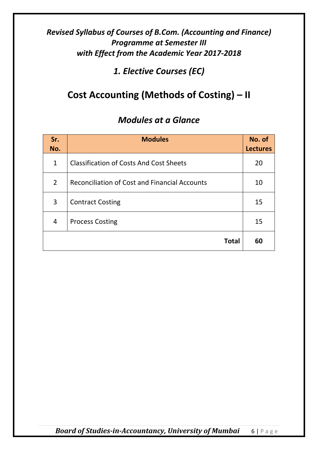#### *1. Elective Courses (EC)*

## **Cost Accounting (Methods of Costing) – II**

| Sr.<br>No.     | <b>Modules</b>                                       | No. of<br><b>Lectures</b> |
|----------------|------------------------------------------------------|---------------------------|
| $\mathbf{1}$   | <b>Classification of Costs And Cost Sheets</b>       | 20                        |
| $\overline{2}$ | <b>Reconciliation of Cost and Financial Accounts</b> | 10                        |
| 3              | <b>Contract Costing</b>                              | 15                        |
| 4              | <b>Process Costing</b>                               | 15                        |
|                | <b>Total</b>                                         | 60                        |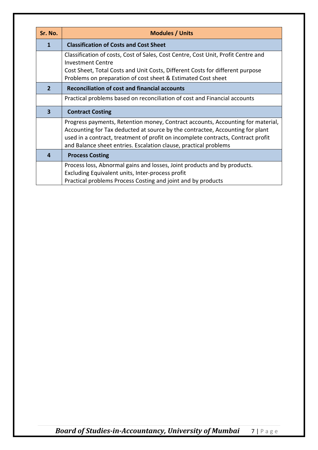| Sr. No.      | <b>Modules / Units</b>                                                                                                                                                                                                                                                                                                   |
|--------------|--------------------------------------------------------------------------------------------------------------------------------------------------------------------------------------------------------------------------------------------------------------------------------------------------------------------------|
| $\mathbf{1}$ | <b>Classification of Costs and Cost Sheet</b>                                                                                                                                                                                                                                                                            |
|              | Classification of costs, Cost of Sales, Cost Centre, Cost Unit, Profit Centre and<br><b>Investment Centre</b><br>Cost Sheet, Total Costs and Unit Costs, Different Costs for different purpose<br>Problems on preparation of cost sheet & Estimated Cost sheet                                                           |
| $\mathbf{p}$ | <b>Reconciliation of cost and financial accounts</b>                                                                                                                                                                                                                                                                     |
|              | Practical problems based on reconciliation of cost and Financial accounts                                                                                                                                                                                                                                                |
| 3            | <b>Contract Costing</b>                                                                                                                                                                                                                                                                                                  |
|              | Progress payments, Retention money, Contract accounts, Accounting for material,<br>Accounting for Tax deducted at source by the contractee, Accounting for plant<br>used in a contract, treatment of profit on incomplete contracts, Contract profit<br>and Balance sheet entries. Escalation clause, practical problems |
| 4            | <b>Process Costing</b>                                                                                                                                                                                                                                                                                                   |
|              | Process loss, Abnormal gains and losses, Joint products and by products.<br>Excluding Equivalent units, Inter-process profit<br>Practical problems Process Costing and joint and by products                                                                                                                             |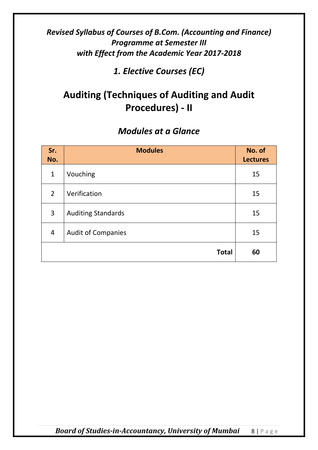*1. Elective Courses (EC)*

## **Auditing (Techniques of Auditing and Audit Procedures) - II**

#### *Modules at a Glance*

| Sr.<br>No.     | <b>Modules</b>            | No. of<br><b>Lectures</b> |
|----------------|---------------------------|---------------------------|
| $\mathbf{1}$   | Vouching                  | 15                        |
| $2^{\circ}$    | Verification              | 15                        |
| 3              | <b>Auditing Standards</b> | 15                        |
| $\overline{4}$ | <b>Audit of Companies</b> | 15                        |
|                | <b>Total</b>              | 60                        |

*Board of Studies-in-Accountancy, University of Mumbai* 8 | Page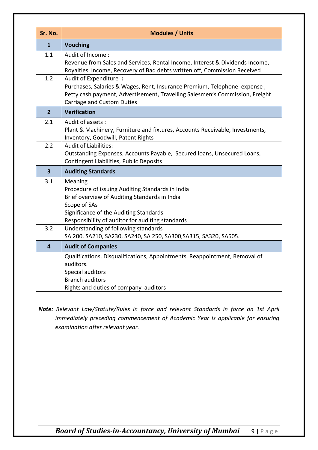| Sr. No.                 | <b>Modules / Units</b>                                                                                                                                                                                                     |  |
|-------------------------|----------------------------------------------------------------------------------------------------------------------------------------------------------------------------------------------------------------------------|--|
| $\mathbf{1}$            | <b>Vouching</b>                                                                                                                                                                                                            |  |
| 1.1                     | Audit of Income:<br>Revenue from Sales and Services, Rental Income, Interest & Dividends Income,<br>Royalties Income, Recovery of Bad debts written off, Commission Received                                               |  |
| 1.2                     | Audit of Expenditure:<br>Purchases, Salaries & Wages, Rent, Insurance Premium, Telephone expense,<br>Petty cash payment, Advertisement, Travelling Salesmen's Commission, Freight<br>Carriage and Custom Duties            |  |
| $\overline{2}$          | <b>Verification</b>                                                                                                                                                                                                        |  |
| 2.1                     | Audit of assets:<br>Plant & Machinery, Furniture and fixtures, Accounts Receivable, Investments,<br>Inventory, Goodwill, Patent Rights                                                                                     |  |
| 2.2                     | <b>Audit of Liabilities:</b><br>Outstanding Expenses, Accounts Payable, Secured Ioans, Unsecured Loans,<br>Contingent Liabilities, Public Deposits                                                                         |  |
| $\overline{\mathbf{3}}$ | <b>Auditing Standards</b>                                                                                                                                                                                                  |  |
| 3.1                     | Meaning<br>Procedure of issuing Auditing Standards in India<br>Brief overview of Auditing Standards in India<br>Scope of SAs<br>Significance of the Auditing Standards<br>Responsibility of auditor for auditing standards |  |
| 3.2                     | Understanding of following standards<br>SA 200. SA210, SA230, SA240, SA 250, SA300, SA315, SA320, SA505.                                                                                                                   |  |
| $\overline{\mathbf{4}}$ | <b>Audit of Companies</b>                                                                                                                                                                                                  |  |
|                         | Qualifications, Disqualifications, Appointments, Reappointment, Removal of<br>auditors.<br>Special auditors<br><b>Branch auditors</b><br>Rights and duties of company auditors                                             |  |

*Note: Relevant Law/Statute/Rules in force and relevant Standards in force on 1st April immediately preceding commencement of Academic Year is applicable for ensuring examination after relevant year.*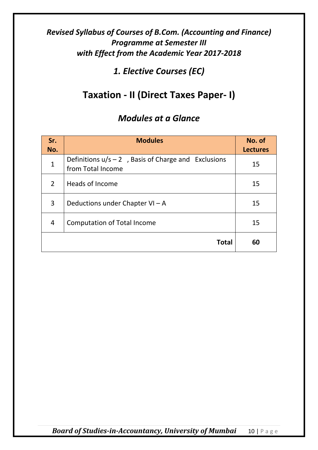*1. Elective Courses (EC)*

## **Taxation - II (Direct Taxes Paper- I)**

#### *Modules at a Glance*

| Sr.<br>No.    | <b>Modules</b>                                                              | No. of<br><b>Lectures</b> |
|---------------|-----------------------------------------------------------------------------|---------------------------|
| $\mathbf{1}$  | Definitions $u/s - 2$ , Basis of Charge and Exclusions<br>from Total Income | 15                        |
| $\mathcal{P}$ | Heads of Income                                                             | 15                        |
| 3             | Deductions under Chapter $VI - A$                                           | 15                        |
| 4             | <b>Computation of Total Income</b>                                          | 15                        |
|               | <b>Total</b>                                                                | 60                        |

*Board of Studies-in-Accountancy, University of Mumbai* 10 | Page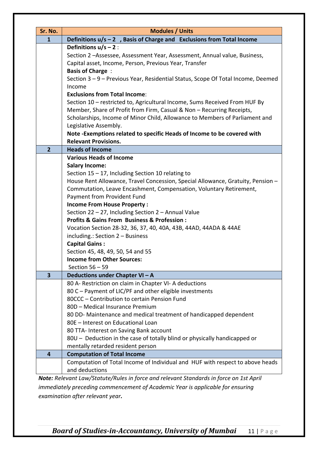| Sr. No.                 | <b>Modules / Units</b>                                                                                                                                                                                                                                                                              |  |  |
|-------------------------|-----------------------------------------------------------------------------------------------------------------------------------------------------------------------------------------------------------------------------------------------------------------------------------------------------|--|--|
| $\mathbf{1}$            | Definitions $u/s - 2$ , Basis of Charge and Exclusions from Total Income                                                                                                                                                                                                                            |  |  |
|                         | Definitions $u/s - 2$ :<br>Section 2-Assessee, Assessment Year, Assessment, Annual value, Business,<br>Capital asset, Income, Person, Previous Year, Transfer<br><b>Basis of Charge:</b>                                                                                                            |  |  |
|                         | Section 3 - 9 - Previous Year, Residential Status, Scope Of Total Income, Deemed<br>Income                                                                                                                                                                                                          |  |  |
|                         | <b>Exclusions from Total Income:</b><br>Section 10 - restricted to, Agricultural Income, Sums Received From HUF By<br>Member, Share of Profit from Firm, Casual & Non - Recurring Receipts,<br>Scholarships, Income of Minor Child, Allowance to Members of Parliament and<br>Legislative Assembly. |  |  |
|                         | Note-Exemptions related to specific Heads of Income to be covered with<br><b>Relevant Provisions.</b>                                                                                                                                                                                               |  |  |
| $\overline{2}$          | <b>Heads of Income</b>                                                                                                                                                                                                                                                                              |  |  |
|                         | <b>Various Heads of Income</b><br><b>Salary Income:</b>                                                                                                                                                                                                                                             |  |  |
|                         | Section $15 - 17$ , Including Section 10 relating to<br>House Rent Allowance, Travel Concession, Special Allowance, Gratuity, Pension -<br>Commutation, Leave Encashment, Compensation, Voluntary Retirement,                                                                                       |  |  |
|                         |                                                                                                                                                                                                                                                                                                     |  |  |
|                         | Payment from Provident Fund<br><b>Income From House Property:</b>                                                                                                                                                                                                                                   |  |  |
|                         | Section 22 - 27, Including Section 2 - Annual Value                                                                                                                                                                                                                                                 |  |  |
|                         | <b>Profits &amp; Gains From Business &amp; Profession:</b>                                                                                                                                                                                                                                          |  |  |
|                         | Vocation Section 28-32, 36, 37, 40, 40A, 43B, 44AD, 44ADA & 44AE                                                                                                                                                                                                                                    |  |  |
|                         | including.: Section 2 - Business                                                                                                                                                                                                                                                                    |  |  |
|                         | <b>Capital Gains:</b>                                                                                                                                                                                                                                                                               |  |  |
|                         | Section 45, 48, 49, 50, 54 and 55                                                                                                                                                                                                                                                                   |  |  |
|                         | <b>Income from Other Sources:</b>                                                                                                                                                                                                                                                                   |  |  |
|                         | Section $56 - 59$                                                                                                                                                                                                                                                                                   |  |  |
| $\overline{\mathbf{3}}$ | Deductions under Chapter VI - A                                                                                                                                                                                                                                                                     |  |  |
|                         | 80 A- Restriction on claim in Chapter VI- A deductions                                                                                                                                                                                                                                              |  |  |
|                         | 80 C - Payment of LIC/PF and other eligible investments<br>80CCC - Contribution to certain Pension Fund                                                                                                                                                                                             |  |  |
|                         | 80D - Medical Insurance Premium                                                                                                                                                                                                                                                                     |  |  |
|                         | 80 DD- Maintenance and medical treatment of handicapped dependent                                                                                                                                                                                                                                   |  |  |
|                         | 80E - Interest on Educational Loan                                                                                                                                                                                                                                                                  |  |  |
|                         | 80 TTA- Interest on Saving Bank account                                                                                                                                                                                                                                                             |  |  |
|                         | 80U - Deduction in the case of totally blind or physically handicapped or                                                                                                                                                                                                                           |  |  |
|                         | mentally retarded resident person                                                                                                                                                                                                                                                                   |  |  |
| 4                       | <b>Computation of Total Income</b>                                                                                                                                                                                                                                                                  |  |  |
|                         | Computation of Total Income of Individual and HUF with respect to above heads<br>and deductions                                                                                                                                                                                                     |  |  |
|                         | Note: Relevant Law/Statute/Rules in force and relevant Standards in force on 1st April                                                                                                                                                                                                              |  |  |

*immediately preceding commencement of Academic Year is applicable for ensuring examination after relevant year.*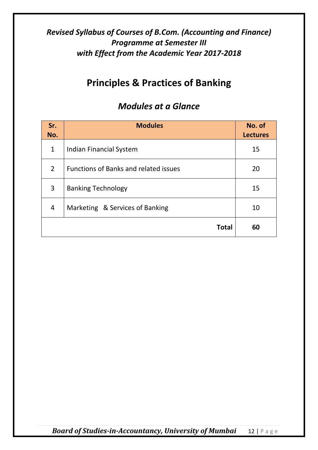#### **Principles & Practices of Banking**

| Sr.<br>No.     | <b>Modules</b>                               | No. of<br><b>Lectures</b> |
|----------------|----------------------------------------------|---------------------------|
| $\mathbf{1}$   | Indian Financial System                      | 15                        |
| $\overline{2}$ | <b>Functions of Banks and related issues</b> | 20                        |
| 3              | <b>Banking Technology</b>                    | 15                        |
| 4              | Marketing & Services of Banking              | 10                        |
|                | <b>Total</b>                                 | 60                        |

#### *Modules at a Glance*

*Board of Studies-in-Accountancy, University of Mumbai* 12 | Page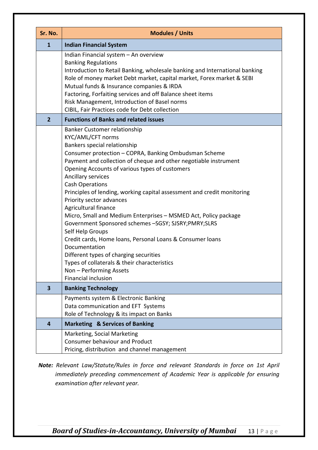| Sr. No.                 | <b>Modules / Units</b>                                                                                                                                                                                                                                                                                                                                                                                                                                                                                                                                                                                                                                                                                                                                                                                                         |
|-------------------------|--------------------------------------------------------------------------------------------------------------------------------------------------------------------------------------------------------------------------------------------------------------------------------------------------------------------------------------------------------------------------------------------------------------------------------------------------------------------------------------------------------------------------------------------------------------------------------------------------------------------------------------------------------------------------------------------------------------------------------------------------------------------------------------------------------------------------------|
| $\mathbf{1}$            | <b>Indian Financial System</b>                                                                                                                                                                                                                                                                                                                                                                                                                                                                                                                                                                                                                                                                                                                                                                                                 |
|                         | Indian Financial system - An overview<br><b>Banking Regulations</b><br>Introduction to Retail Banking, wholesale banking and International banking<br>Role of money market Debt market, capital market, Forex market & SEBI<br>Mutual funds & Insurance companies & IRDA<br>Factoring, Forfaiting services and off Balance sheet items<br>Risk Management, Introduction of Basel norms<br>CIBIL, Fair Practices code for Debt collection                                                                                                                                                                                                                                                                                                                                                                                       |
| $\overline{2}$          | <b>Functions of Banks and related issues</b>                                                                                                                                                                                                                                                                                                                                                                                                                                                                                                                                                                                                                                                                                                                                                                                   |
|                         | Banker Customer relationship<br>KYC/AML/CFT norms<br>Bankers special relationship<br>Consumer protection - COPRA, Banking Ombudsman Scheme<br>Payment and collection of cheque and other negotiable instrument<br>Opening Accounts of various types of customers<br>Ancillary services<br><b>Cash Operations</b><br>Principles of lending, working capital assessment and credit monitoring<br>Priority sector advances<br>Agricultural finance<br>Micro, Small and Medium Enterprises - MSMED Act, Policy package<br>Government Sponsored schemes -SGSY; SJSRY;PMRY;SLRS<br>Self Help Groups<br>Credit cards, Home loans, Personal Loans & Consumer loans<br>Documentation<br>Different types of charging securities<br>Types of collaterals & their characteristics<br>Non - Performing Assets<br><b>Financial inclusion</b> |
| $\overline{\mathbf{3}}$ | <b>Banking Technology</b>                                                                                                                                                                                                                                                                                                                                                                                                                                                                                                                                                                                                                                                                                                                                                                                                      |
|                         | Payments system & Electronic Banking<br>Data communication and EFT Systems<br>Role of Technology & its impact on Banks                                                                                                                                                                                                                                                                                                                                                                                                                                                                                                                                                                                                                                                                                                         |
| 4                       | <b>Marketing &amp; Services of Banking</b>                                                                                                                                                                                                                                                                                                                                                                                                                                                                                                                                                                                                                                                                                                                                                                                     |
|                         | Marketing, Social Marketing<br><b>Consumer behaviour and Product</b><br>Pricing, distribution and channel management                                                                                                                                                                                                                                                                                                                                                                                                                                                                                                                                                                                                                                                                                                           |

*Note: Relevant Law/Statute/Rules in force and relevant Standards in force on 1st April immediately preceding commencement of Academic Year is applicable for ensuring examination after relevant year.*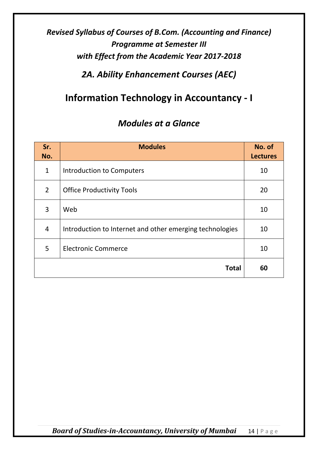#### *2A. Ability Enhancement Courses (AEC)*

#### **Information Technology in Accountancy - I**

| Sr.<br>No.     | <b>Modules</b>                                           | No. of<br><b>Lectures</b> |
|----------------|----------------------------------------------------------|---------------------------|
| $\mathbf{1}$   | <b>Introduction to Computers</b>                         | 10                        |
| $\overline{2}$ | <b>Office Productivity Tools</b>                         | 20                        |
| 3              | Web                                                      | 10                        |
| 4              | Introduction to Internet and other emerging technologies | 10                        |
| 5              | <b>Electronic Commerce</b>                               | 10                        |
|                | <b>Total</b>                                             | 60                        |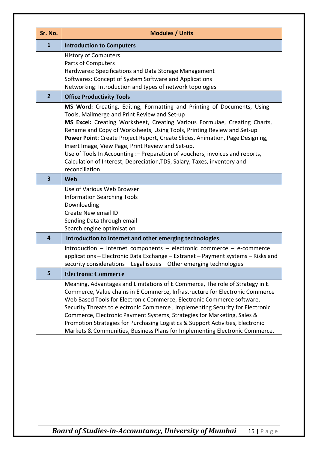| Sr. No.                 | <b>Modules / Units</b>                                                                                                                                                                                                                                                                                                                                                                                                                                                                                                                                                                              |
|-------------------------|-----------------------------------------------------------------------------------------------------------------------------------------------------------------------------------------------------------------------------------------------------------------------------------------------------------------------------------------------------------------------------------------------------------------------------------------------------------------------------------------------------------------------------------------------------------------------------------------------------|
| $\mathbf{1}$            | <b>Introduction to Computers</b>                                                                                                                                                                                                                                                                                                                                                                                                                                                                                                                                                                    |
|                         | <b>History of Computers</b><br>Parts of Computers<br>Hardwares: Specifications and Data Storage Management<br>Softwares: Concept of System Software and Applications<br>Networking: Introduction and types of network topologies                                                                                                                                                                                                                                                                                                                                                                    |
| $\overline{2}$          | <b>Office Productivity Tools</b>                                                                                                                                                                                                                                                                                                                                                                                                                                                                                                                                                                    |
|                         | MS Word: Creating, Editing, Formatting and Printing of Documents, Using<br>Tools, Mailmerge and Print Review and Set-up<br>MS Excel: Creating Worksheet, Creating Various Formulae, Creating Charts,<br>Rename and Copy of Worksheets, Using Tools, Printing Review and Set-up<br>Power Point: Create Project Report, Create Slides, Animation, Page Designing,<br>Insert Image, View Page, Print Review and Set-up.<br>Use of Tools In Accounting : - Preparation of vouchers, invoices and reports,<br>Calculation of Interest, Depreciation, TDS, Salary, Taxes, inventory and<br>reconciliation |
| $\overline{\mathbf{3}}$ | Web                                                                                                                                                                                                                                                                                                                                                                                                                                                                                                                                                                                                 |
|                         | Use of Various Web Browser<br><b>Information Searching Tools</b><br>Downloading<br>Create New email ID<br>Sending Data through email<br>Search engine optimisation                                                                                                                                                                                                                                                                                                                                                                                                                                  |
| $\overline{a}$          | Introduction to Internet and other emerging technologies                                                                                                                                                                                                                                                                                                                                                                                                                                                                                                                                            |
|                         | Introduction - Internet components - electronic commerce - e-commerce<br>applications - Electronic Data Exchange - Extranet - Payment systems - Risks and<br>security considerations - Legal issues - Other emerging technologies                                                                                                                                                                                                                                                                                                                                                                   |
| 5                       | <b>Electronic Commerce</b>                                                                                                                                                                                                                                                                                                                                                                                                                                                                                                                                                                          |
|                         | Meaning, Advantages and Limitations of E Commerce, The role of Strategy in E<br>Commerce, Value chains in E Commerce, Infrastructure for Electronic Commerce<br>Web Based Tools for Electronic Commerce, Electronic Commerce software,<br>Security Threats to electronic Commerce, Implementing Security for Electronic<br>Commerce, Electronic Payment Systems, Strategies for Marketing, Sales &<br>Promotion Strategies for Purchasing Logistics & Support Activities, Electronic<br>Markets & Communities, Business Plans for Implementing Electronic Commerce.                                 |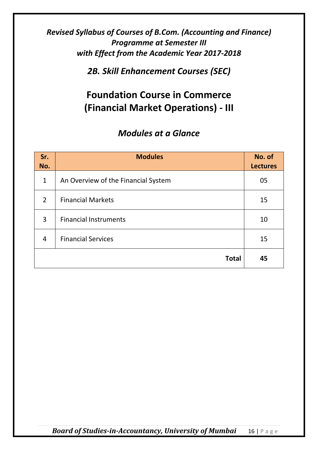*2B. Skill Enhancement Courses (SEC)*

### **Foundation Course in Commerce (Financial Market Operations) - III**

| Sr.<br>No.     | <b>Modules</b>                      | No. of<br><b>Lectures</b> |
|----------------|-------------------------------------|---------------------------|
| $\mathbf{1}$   | An Overview of the Financial System | 05                        |
| $\overline{2}$ | <b>Financial Markets</b>            | 15                        |
| $\overline{3}$ | <b>Financial Instruments</b>        | 10                        |
| 4              | <b>Financial Services</b>           | 15                        |
|                | <b>Total</b>                        | 45                        |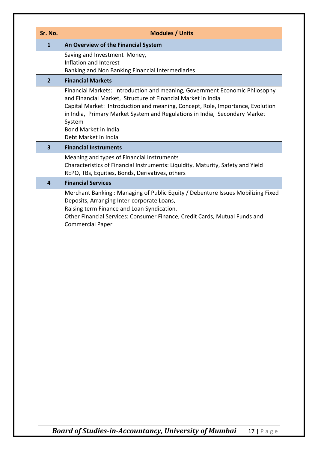| Sr. No.        | <b>Modules / Units</b>                                                                                                                                                                                                                                                                                                                                                |
|----------------|-----------------------------------------------------------------------------------------------------------------------------------------------------------------------------------------------------------------------------------------------------------------------------------------------------------------------------------------------------------------------|
| 1              | An Overview of the Financial System                                                                                                                                                                                                                                                                                                                                   |
|                | Saving and Investment Money,<br>Inflation and Interest<br>Banking and Non Banking Financial Intermediaries                                                                                                                                                                                                                                                            |
| $\overline{2}$ | <b>Financial Markets</b>                                                                                                                                                                                                                                                                                                                                              |
|                | Financial Markets: Introduction and meaning, Government Economic Philosophy<br>and Financial Market, Structure of Financial Market in India<br>Capital Market: Introduction and meaning, Concept, Role, Importance, Evolution<br>in India, Primary Market System and Regulations in India, Secondary Market<br>System<br>Bond Market in India<br>Debt Market in India |
| 3              | <b>Financial Instruments</b>                                                                                                                                                                                                                                                                                                                                          |
|                | Meaning and types of Financial Instruments<br>Characteristics of Financial Instruments: Liquidity, Maturity, Safety and Yield<br>REPO, TBs, Equities, Bonds, Derivatives, others                                                                                                                                                                                      |
| 4              | <b>Financial Services</b>                                                                                                                                                                                                                                                                                                                                             |
|                | Merchant Banking: Managing of Public Equity / Debenture Issues Mobilizing Fixed<br>Deposits, Arranging Inter-corporate Loans,<br>Raising term Finance and Loan Syndication.<br>Other Financial Services: Consumer Finance, Credit Cards, Mutual Funds and<br><b>Commercial Paper</b>                                                                                  |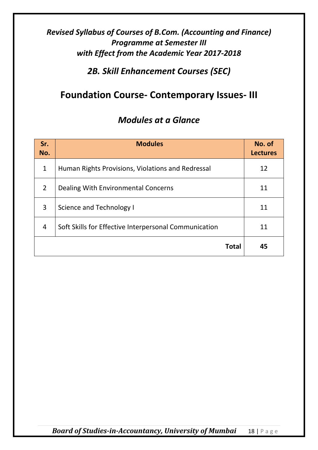*2B. Skill Enhancement Courses (SEC)*

#### **Foundation Course- Contemporary Issues- III**

#### *Modules at a Glance*

| Sr.<br>No.   | <b>Modules</b>                                        | No. of<br><b>Lectures</b> |
|--------------|-------------------------------------------------------|---------------------------|
| $\mathbf{1}$ | Human Rights Provisions, Violations and Redressal     | 12                        |
| 2            | Dealing With Environmental Concerns                   | 11                        |
| 3            | Science and Technology I                              | 11                        |
| 4            | Soft Skills for Effective Interpersonal Communication | 11                        |
|              | <b>Total</b>                                          | 45                        |

*Board of Studies-in-Accountancy, University of Mumbai* 18 | Page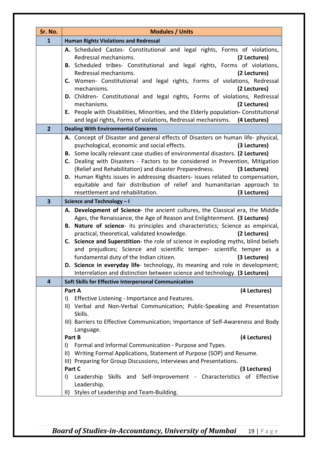| Sr. No.                 | <b>Modules / Units</b>                                                                                                                                                                                                                                                                                                                                                                                                                                                                                                                                                                                                                                                                                |
|-------------------------|-------------------------------------------------------------------------------------------------------------------------------------------------------------------------------------------------------------------------------------------------------------------------------------------------------------------------------------------------------------------------------------------------------------------------------------------------------------------------------------------------------------------------------------------------------------------------------------------------------------------------------------------------------------------------------------------------------|
| $\mathbf{1}$            | <b>Human Rights Violations and Redressal</b>                                                                                                                                                                                                                                                                                                                                                                                                                                                                                                                                                                                                                                                          |
|                         | A. Scheduled Castes- Constitutional and legal rights, Forms of violations,<br>Redressal mechanisms.<br>(2 Lectures)<br>B. Scheduled tribes- Constitutional and legal rights, Forms of violations,<br>Redressal mechanisms.<br>(2 Lectures)<br>C. Women- Constitutional and legal rights, Forms of violations, Redressal<br>mechanisms.<br>(2 Lectures)<br>D. Children- Constitutional and legal rights, Forms of violations, Redressal<br>mechanisms.<br>(2 Lectures)<br>E. People with Disabilities, Minorities, and the Elderly population- Constitutional<br>and legal rights, Forms of violations, Redressal mechanisms.<br>(4 Lectures)                                                          |
| $\overline{2}$          | <b>Dealing With Environmental Concerns</b>                                                                                                                                                                                                                                                                                                                                                                                                                                                                                                                                                                                                                                                            |
|                         | A. Concept of Disaster and general effects of Disasters on human life- physical,<br>psychological, economic and social effects.<br>(3 Lectures)<br>B. Some locally relevant case studies of environmental disasters. (2 Lectures)<br>C. Dealing with Disasters - Factors to be considered in Prevention, Mitigation<br>(Relief and Rehabilitation) and disaster Preparedness.<br>(3 Lectures)<br>D. Human Rights issues in addressing disasters- issues related to compensation,<br>equitable and fair distribution of relief and humanitarian approach to<br>resettlement and rehabilitation.<br>(3 Lectures)                                                                                        |
| $\overline{\mathbf{3}}$ | Science and Technology - I                                                                                                                                                                                                                                                                                                                                                                                                                                                                                                                                                                                                                                                                            |
|                         | A. Development of Science- the ancient cultures, the Classical era, the Middle<br>Ages, the Renaissance, the Age of Reason and Enlightenment. (3 Lectures)<br>B. Nature of science- its principles and characteristics; Science as empirical,<br>practical, theoretical, validated knowledge.<br>(2 Lectures)<br>C. Science and Superstition- the role of science in exploding myths, blind beliefs<br>and prejudices; Science and scientific temper- scientific temper as a<br>fundamental duty of the Indian citizen.<br>(3 Lectures)<br>D. Science in everyday life-technology, its meaning and role in development;<br>Interrelation and distinction between science and technology. (3 Lectures) |
| 4                       | Soft Skills for Effective Interpersonal Communication                                                                                                                                                                                                                                                                                                                                                                                                                                                                                                                                                                                                                                                 |
|                         | (4 Lectures)<br>Part A<br>Effective Listening - Importance and Features.<br>$\mathbf{I}$<br>II) Verbal and Non-Verbal Communication; Public-Speaking and Presentation<br>Skills.<br>III) Barriers to Effective Communication; Importance of Self-Awareness and Body<br>Language.                                                                                                                                                                                                                                                                                                                                                                                                                      |
|                         | (4 Lectures)<br>Part B                                                                                                                                                                                                                                                                                                                                                                                                                                                                                                                                                                                                                                                                                |
|                         | Formal and Informal Communication - Purpose and Types.<br>$\vert$ )<br>Writing Formal Applications, Statement of Purpose (SOP) and Resume.<br>$\vert \vert \vert$<br>III) Preparing for Group Discussions, Interviews and Presentations.<br>Part C<br>(3 Lectures)<br>Leadership Skills and Self-Improvement - Characteristics of Effective<br>$\mathbf{I}$                                                                                                                                                                                                                                                                                                                                           |
|                         | Leadership.<br>Styles of Leadership and Team-Building.<br>$\vert \vert \vert$                                                                                                                                                                                                                                                                                                                                                                                                                                                                                                                                                                                                                         |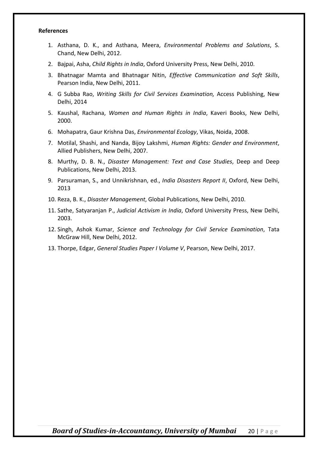#### **References**

- 1. Asthana, D. K., and Asthana, Meera, *Environmental Problems and Solutions*, S. Chand, New Delhi, 2012.
- 2. Bajpai, Asha, *Child Rights in India*, Oxford University Press, New Delhi, 2010.
- 3. Bhatnagar Mamta and Bhatnagar Nitin, *Effective Communication and Soft Skills*, Pearson India, New Delhi, 2011.
- 4. G Subba Rao, *Writing Skills for Civil Services Examination,* Access Publishing, New Delhi, 2014
- 5. Kaushal, Rachana, *Women and Human Rights in India*, Kaveri Books, New Delhi, 2000.
- 6. Mohapatra, Gaur Krishna Das, *Environmental Ecology*, Vikas, Noida, 2008.
- 7. Motilal, Shashi, and Nanda, Bijoy Lakshmi, *Human Rights: Gender and Environment*, Allied Publishers, New Delhi, 2007.
- 8. Murthy, D. B. N., *Disaster Management: Text and Case Studies*, Deep and Deep Publications, New Delhi, 2013.
- 9. Parsuraman, S., and Unnikrishnan, ed., *India Disasters Report II*, Oxford, New Delhi, 2013
- 10. Reza, B. K., *Disaster Management*, Global Publications, New Delhi, 2010.
- 11. Sathe, Satyaranjan P., *Judicial Activism in India*, Oxford University Press, New Delhi, 2003.
- 12. Singh, Ashok Kumar, *Science and Technology for Civil Service Examination*, Tata McGraw Hill, New Delhi, 2012.
- 13. Thorpe, Edgar, *General Studies Paper I Volume V*, Pearson, New Delhi, 2017.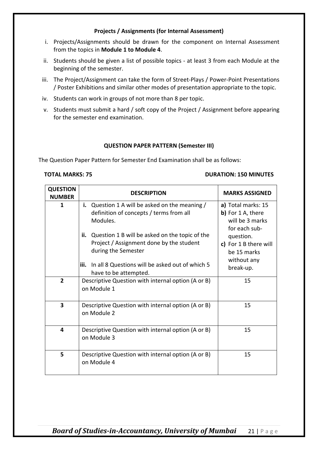#### **Projects / Assignments (for Internal Assessment)**

- i. Projects/Assignments should be drawn for the component on Internal Assessment from the topics in **Module 1 to Module 4**.
- ii. Students should be given a list of possible topics at least 3 from each Module at the beginning of the semester.
- iii. The Project/Assignment can take the form of Street-Plays / Power-Point Presentations / Poster Exhibitions and similar other modes of presentation appropriate to the topic.
- iv. Students can work in groups of not more than 8 per topic.
- v. Students must submit a hard / soft copy of the Project / Assignment before appearing for the semester end examination.

#### **QUESTION PAPER PATTERN (Semester III)**

The Question Paper Pattern for Semester End Examination shall be as follows:

#### **TOTAL MARKS: 75 DURATION: 150 MINUTES**

| <b>QUESTION</b><br><b>NUMBER</b> | <b>DESCRIPTION</b>                                                                                                                                                                                                                                                                                                      | <b>MARKS ASSIGNED</b>                                                                                                                                        |
|----------------------------------|-------------------------------------------------------------------------------------------------------------------------------------------------------------------------------------------------------------------------------------------------------------------------------------------------------------------------|--------------------------------------------------------------------------------------------------------------------------------------------------------------|
| 1                                | i. Question 1 A will be asked on the meaning $/$<br>definition of concepts / terms from all<br>Modules.<br>Question 1 B will be asked on the topic of the<br>ii.<br>Project / Assignment done by the student<br>during the Semester<br>In all 8 Questions will be asked out of which 5<br>iii.<br>have to be attempted. | a) Total marks: 15<br>b) For 1 A, there<br>will be 3 marks<br>for each sub-<br>question.<br>c) For 1 B there will<br>be 15 marks<br>without any<br>break-up. |
| $\overline{2}$                   | Descriptive Question with internal option (A or B)<br>on Module 1                                                                                                                                                                                                                                                       | 15                                                                                                                                                           |
| 3                                | Descriptive Question with internal option (A or B)<br>on Module 2                                                                                                                                                                                                                                                       | 15                                                                                                                                                           |
| 4                                | Descriptive Question with internal option (A or B)<br>on Module 3                                                                                                                                                                                                                                                       | 15                                                                                                                                                           |
| 5                                | Descriptive Question with internal option (A or B)<br>on Module 4                                                                                                                                                                                                                                                       | 15                                                                                                                                                           |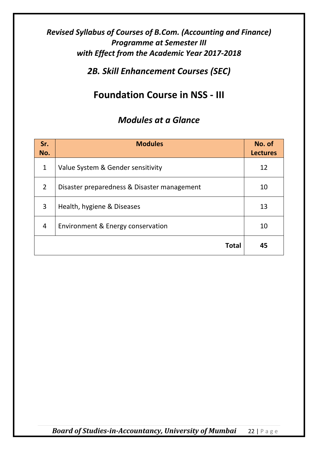*2B. Skill Enhancement Courses (SEC)*

### **Foundation Course in NSS - III**

| Sr.<br>No.     | <b>Modules</b>                              | No. of<br><b>Lectures</b> |
|----------------|---------------------------------------------|---------------------------|
| $\mathbf{1}$   | Value System & Gender sensitivity           | 12                        |
| $\mathcal{P}$  | Disaster preparedness & Disaster management | 10                        |
| 3              | Health, hygiene & Diseases                  | 13                        |
| $\overline{4}$ | Environment & Energy conservation           | 10                        |
|                | <b>Total</b>                                | 45                        |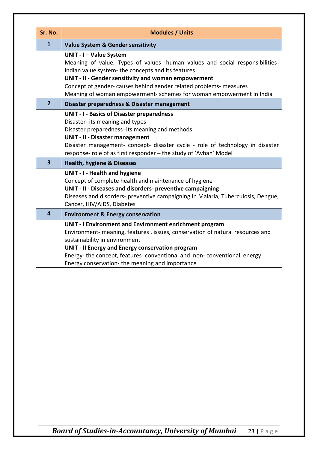| Sr. No.                 | <b>Modules / Units</b>                                                                                                                                                                                                                                                                                                                                              |
|-------------------------|---------------------------------------------------------------------------------------------------------------------------------------------------------------------------------------------------------------------------------------------------------------------------------------------------------------------------------------------------------------------|
| $\mathbf{1}$            | <b>Value System &amp; Gender sensitivity</b>                                                                                                                                                                                                                                                                                                                        |
|                         | UNIT - I - Value System<br>Meaning of value, Types of values- human values and social responsibilities-<br>Indian value system- the concepts and its features<br>UNIT - II - Gender sensitivity and woman empowerment<br>Concept of gender- causes behind gender related problems- measures<br>Meaning of woman empowerment- schemes for woman empowerment in India |
| $\overline{2}$          | Disaster preparedness & Disaster management                                                                                                                                                                                                                                                                                                                         |
|                         | <b>UNIT - I - Basics of Disaster preparedness</b><br>Disaster- its meaning and types<br>Disaster preparedness- its meaning and methods<br><b>UNIT - II - Disaster management</b><br>Disaster management- concept- disaster cycle - role of technology in disaster<br>response- role of as first responder - the study of 'Avhan' Model                              |
| $\overline{\mathbf{3}}$ | <b>Health, hygiene &amp; Diseases</b>                                                                                                                                                                                                                                                                                                                               |
|                         | <b>UNIT - I - Health and hygiene</b><br>Concept of complete health and maintenance of hygiene<br>UNIT - II - Diseases and disorders- preventive campaigning<br>Diseases and disorders- preventive campaigning in Malaria, Tuberculosis, Dengue,<br>Cancer, HIV/AIDS, Diabetes                                                                                       |
| $\overline{4}$          | <b>Environment &amp; Energy conservation</b>                                                                                                                                                                                                                                                                                                                        |
|                         | UNIT - I Environment and Environment enrichment program<br>Environment- meaning, features, issues, conservation of natural resources and<br>sustainability in environment<br>UNIT - II Energy and Energy conservation program<br>Energy-the concept, features-conventional and non-conventional energy<br>Energy conservation-the meaning and importance            |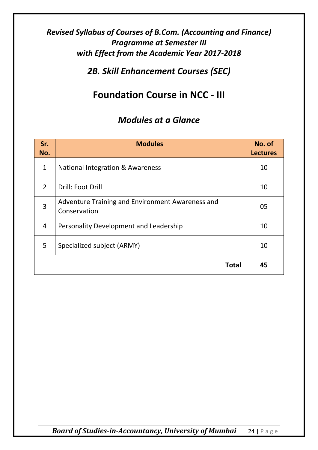*2B. Skill Enhancement Courses (SEC)*

### **Foundation Course in NCC - III**

| Sr.<br>No.     | <b>Modules</b>                                                   | No. of<br><b>Lectures</b> |
|----------------|------------------------------------------------------------------|---------------------------|
| $\mathbf{1}$   | <b>National Integration &amp; Awareness</b>                      | 10                        |
| 2              | Drill: Foot Drill                                                | 10                        |
| $\overline{3}$ | Adventure Training and Environment Awareness and<br>Conservation | 05                        |
| 4              | Personality Development and Leadership                           | 10                        |
| 5              | Specialized subject (ARMY)                                       | 10                        |
|                | Total                                                            | 45                        |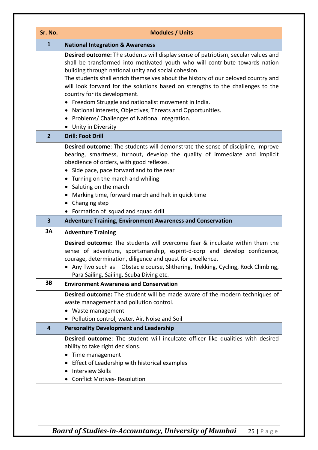| Sr. No.                 | <b>Modules / Units</b>                                                                                                                                                                                                                                                                                                                                                                                                                                                                                                                                                                                                                          |
|-------------------------|-------------------------------------------------------------------------------------------------------------------------------------------------------------------------------------------------------------------------------------------------------------------------------------------------------------------------------------------------------------------------------------------------------------------------------------------------------------------------------------------------------------------------------------------------------------------------------------------------------------------------------------------------|
| $\mathbf{1}$            | <b>National Integration &amp; Awareness</b>                                                                                                                                                                                                                                                                                                                                                                                                                                                                                                                                                                                                     |
|                         | Desired outcome: The students will display sense of patriotism, secular values and<br>shall be transformed into motivated youth who will contribute towards nation<br>building through national unity and social cohesion.<br>The students shall enrich themselves about the history of our beloved country and<br>will look forward for the solutions based on strengths to the challenges to the<br>country for its development.<br>• Freedom Struggle and nationalist movement in India.<br>National interests, Objectives, Threats and Opportunities.<br>Problems/ Challenges of National Integration.<br>$\bullet$<br>• Unity in Diversity |
| $\overline{2}$          | <b>Drill: Foot Drill</b>                                                                                                                                                                                                                                                                                                                                                                                                                                                                                                                                                                                                                        |
|                         | <b>Desired outcome:</b> The students will demonstrate the sense of discipline, improve<br>bearing, smartness, turnout, develop the quality of immediate and implicit<br>obedience of orders, with good reflexes.<br>Side pace, pace forward and to the rear<br>$\bullet$<br>Turning on the march and whiling<br>$\bullet$<br>Saluting on the march<br>$\bullet$<br>Marking time, forward march and halt in quick time<br>$\bullet$<br>• Changing step<br>• Formation of squad and squad drill                                                                                                                                                   |
| $\overline{\mathbf{3}}$ | <b>Adventure Training, Environment Awareness and Conservation</b>                                                                                                                                                                                                                                                                                                                                                                                                                                                                                                                                                                               |
| 3A                      | <b>Adventure Training</b>                                                                                                                                                                                                                                                                                                                                                                                                                                                                                                                                                                                                                       |
|                         | <b>Desired outcome:</b> The students will overcome fear & inculcate within them the<br>sense of adventure, sportsmanship, espirit-d-corp and develop confidence,<br>courage, determination, diligence and quest for excellence.<br>• Any Two such as - Obstacle course, Slithering, Trekking, Cycling, Rock Climbing,<br>Para Sailing, Sailing, Scuba Diving etc.                                                                                                                                                                                                                                                                               |
| 3B                      | <b>Environment Awareness and Conservation</b>                                                                                                                                                                                                                                                                                                                                                                                                                                                                                                                                                                                                   |
|                         | Desired outcome: The student will be made aware of the modern techniques of<br>waste management and pollution control.<br>• Waste management<br>Pollution control, water, Air, Noise and Soil                                                                                                                                                                                                                                                                                                                                                                                                                                                   |
| 4                       | <b>Personality Development and Leadership</b>                                                                                                                                                                                                                                                                                                                                                                                                                                                                                                                                                                                                   |
|                         | Desired outcome: The student will inculcate officer like qualities with desired<br>ability to take right decisions.<br>Time management<br>$\bullet$<br>Effect of Leadership with historical examples<br><b>Interview Skills</b><br><b>Conflict Motives- Resolution</b>                                                                                                                                                                                                                                                                                                                                                                          |
|                         |                                                                                                                                                                                                                                                                                                                                                                                                                                                                                                                                                                                                                                                 |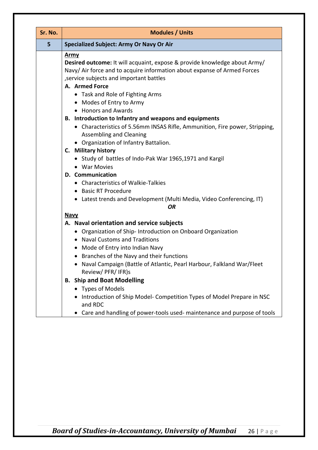| Sr. No. | <b>Modules / Units</b>                                                                                                                                                                                                                                                                                                                                                                                                                                                                                                                                                                                                                                                                                            |
|---------|-------------------------------------------------------------------------------------------------------------------------------------------------------------------------------------------------------------------------------------------------------------------------------------------------------------------------------------------------------------------------------------------------------------------------------------------------------------------------------------------------------------------------------------------------------------------------------------------------------------------------------------------------------------------------------------------------------------------|
| 5       | <b>Specialized Subject: Army Or Navy Or Air</b>                                                                                                                                                                                                                                                                                                                                                                                                                                                                                                                                                                                                                                                                   |
|         | <u>Army</u><br>Desired outcome: It will acquaint, expose & provide knowledge about Army/<br>Navy/ Air force and to acquire information about expanse of Armed Forces<br>, service subjects and important battles<br>A. Armed Force<br>• Task and Role of Fighting Arms<br>• Modes of Entry to Army<br>• Honors and Awards<br>B. Introduction to Infantry and weapons and equipments<br>• Characteristics of 5.56mm INSAS Rifle, Ammunition, Fire power, Stripping,<br><b>Assembling and Cleaning</b><br>• Organization of Infantry Battalion.<br>C. Military history<br>• Study of battles of Indo-Pak War 1965,1971 and Kargil<br>• War Movies<br><b>D.</b> Communication<br>• Characteristics of Walkie-Talkies |
|         | • Basic RT Procedure<br>• Latest trends and Development (Multi Media, Video Conferencing, IT)<br><b>OR</b>                                                                                                                                                                                                                                                                                                                                                                                                                                                                                                                                                                                                        |
|         | <b>Navy</b>                                                                                                                                                                                                                                                                                                                                                                                                                                                                                                                                                                                                                                                                                                       |
|         | A. Naval orientation and service subjects<br>• Organization of Ship- Introduction on Onboard Organization<br>• Naval Customs and Traditions<br>• Mode of Entry into Indian Navy<br>• Branches of the Navy and their functions<br>Naval Campaign (Battle of Atlantic, Pearl Harbour, Falkland War/Fleet<br>Review/PFR/IFR)s                                                                                                                                                                                                                                                                                                                                                                                        |
|         | <b>B. Ship and Boat Modelling</b>                                                                                                                                                                                                                                                                                                                                                                                                                                                                                                                                                                                                                                                                                 |
|         | • Types of Models<br>• Introduction of Ship Model-Competition Types of Model Prepare in NSC<br>and RDC<br>• Care and handling of power-tools used- maintenance and purpose of tools                                                                                                                                                                                                                                                                                                                                                                                                                                                                                                                               |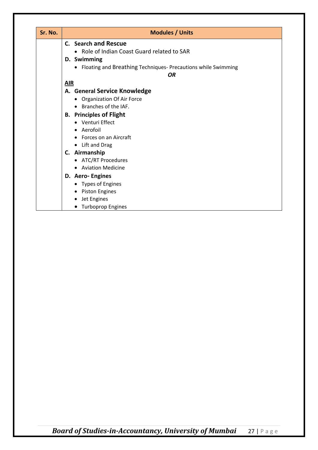| Sr. No. | <b>Modules / Units</b>                                          |
|---------|-----------------------------------------------------------------|
|         | C. Search and Rescue                                            |
|         | • Role of Indian Coast Guard related to SAR                     |
|         | D. Swimming                                                     |
|         | • Floating and Breathing Techniques- Precautions while Swimming |
|         | <b>OR</b>                                                       |
|         | ALR                                                             |
|         | A. General Service Knowledge                                    |
|         | • Organization Of Air Force                                     |
|         | • Branches of the IAF.                                          |
|         | <b>B.</b> Principles of Flight                                  |
|         | • Venturi Effect                                                |
|         | • Aerofoil                                                      |
|         | Forces on an Aircraft                                           |
|         | • Lift and Drag                                                 |
|         | C. Airmanship                                                   |
|         | • ATC/RT Procedures                                             |
|         | • Aviation Medicine                                             |
|         | D. Aero-Engines                                                 |
|         | • Types of Engines                                              |
|         | • Piston Engines                                                |
|         | Jet Engines<br>٠                                                |
|         | • Turboprop Engines                                             |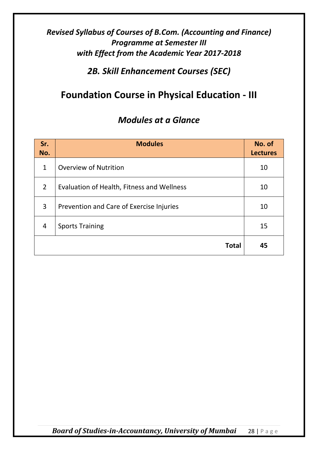*2B. Skill Enhancement Courses (SEC)*

#### **Foundation Course in Physical Education - III**

| Sr.<br>No.     | <b>Modules</b>                             | No. of<br><b>Lectures</b> |
|----------------|--------------------------------------------|---------------------------|
| $\mathbf{1}$   | <b>Overview of Nutrition</b>               | 10                        |
| $\overline{2}$ | Evaluation of Health, Fitness and Wellness | 10                        |
| 3              | Prevention and Care of Exercise Injuries   | 10                        |
| $\overline{4}$ | <b>Sports Training</b>                     | 15                        |
|                | <b>Total</b>                               | 45                        |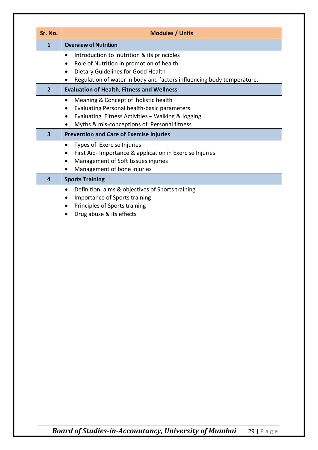| Sr. No.      | <b>Modules / Units</b>                                                                                                                                                                                |
|--------------|-------------------------------------------------------------------------------------------------------------------------------------------------------------------------------------------------------|
| 1            | <b>Overview of Nutrition</b>                                                                                                                                                                          |
|              | Introduction to nutrition & its principles<br>Role of Nutrition in promotion of health<br>Dietary Guidelines for Good Health<br>Regulation of water in body and factors influencing body temperature. |
| $\mathbf{2}$ | <b>Evaluation of Health, Fitness and Wellness</b>                                                                                                                                                     |
|              | Meaning & Concept of holistic health<br>Evaluating Personal health-basic parameters<br>$\bullet$<br>Evaluating Fitness Activities - Walking & Jogging<br>Myths & mis-conceptions of Personal fitness  |
| $\mathbf{3}$ | <b>Prevention and Care of Exercise Injuries</b>                                                                                                                                                       |
|              | Types of Exercise Injuries<br>$\bullet$<br>First Aid- Importance & application in Exercise Injuries<br>Management of Soft tissues injuries<br>Management of bone injuries                             |
| 4            | <b>Sports Training</b>                                                                                                                                                                                |
|              | Definition, aims & objectives of Sports training<br>Importance of Sports training<br>Principles of Sports training<br>Drug abuse & its effects                                                        |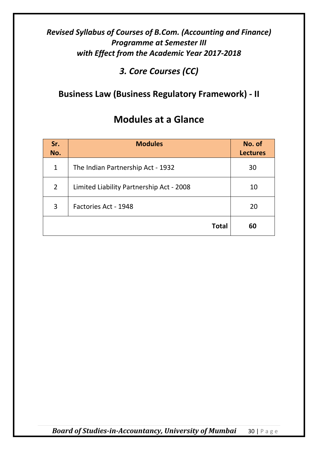*3. Core Courses (CC)*

#### **Business Law (Business Regulatory Framework) - II**

| Sr.<br>No.     | <b>Modules</b>                           | No. of<br><b>Lectures</b> |
|----------------|------------------------------------------|---------------------------|
| $\mathbf{1}$   | The Indian Partnership Act - 1932        | 30                        |
| $\overline{2}$ | Limited Liability Partnership Act - 2008 | 10                        |
| 3              | Factories Act - 1948                     | 20                        |
|                | <b>Total</b>                             | 60                        |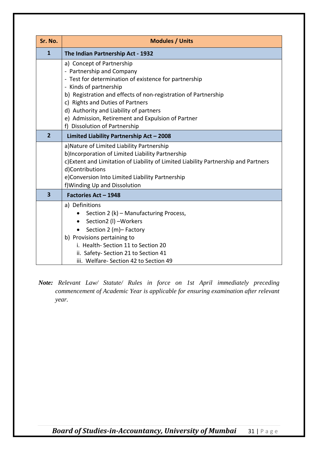| Sr. No.                 | <b>Modules / Units</b>                                                                                                                  |
|-------------------------|-----------------------------------------------------------------------------------------------------------------------------------------|
| $\mathbf{1}$            | The Indian Partnership Act - 1932                                                                                                       |
|                         | a) Concept of Partnership                                                                                                               |
|                         | - Partnership and Company                                                                                                               |
|                         | - Test for determination of existence for partnership<br>- Kinds of partnership                                                         |
|                         | b) Registration and effects of non-registration of Partnership                                                                          |
|                         | c) Rights and Duties of Partners                                                                                                        |
|                         | d) Authority and Liability of partners                                                                                                  |
|                         | e) Admission, Retirement and Expulsion of Partner                                                                                       |
|                         | f) Dissolution of Partnership                                                                                                           |
| $\overline{2}$          | Limited Liability Partnership Act - 2008                                                                                                |
|                         | a) Nature of Limited Liability Partnership                                                                                              |
|                         | b)Incorporation of Limited Liability Partnership<br>c) Extent and Limitation of Liability of Limited Liability Partnership and Partners |
|                         | d)Contributions                                                                                                                         |
|                         | e)Conversion Into Limited Liability Partnership                                                                                         |
|                         | f) Winding Up and Dissolution                                                                                                           |
| $\overline{\mathbf{3}}$ | Factories Act - 1948                                                                                                                    |
|                         | a) Definitions                                                                                                                          |
|                         | Section 2 (k) – Manufacturing Process,                                                                                                  |
|                         | Section2 (I) -Workers                                                                                                                   |
|                         | Section 2 (m) - Factory                                                                                                                 |
|                         | b) Provisions pertaining to<br>i. Health-Section 11 to Section 20                                                                       |
|                         | ii. Safety- Section 21 to Section 41                                                                                                    |
|                         | iii. Welfare-Section 42 to Section 49                                                                                                   |

*Note: Relevant Law/ Statute/ Rules in force on 1st April immediately preceding commencement of Academic Year is applicable for ensuring examination after relevant year.*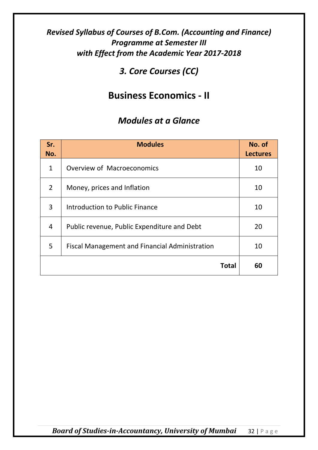#### *3. Core Courses (CC)*

#### **Business Economics - II**

| Sr.<br>No.     | <b>Modules</b>                                        | No. of<br><b>Lectures</b> |
|----------------|-------------------------------------------------------|---------------------------|
| $\mathbf{1}$   | Overview of Macroeconomics                            | 10                        |
| $\overline{2}$ | Money, prices and Inflation                           | 10                        |
| 3              | Introduction to Public Finance                        | 10                        |
| 4              | Public revenue, Public Expenditure and Debt           | 20                        |
| 5              | <b>Fiscal Management and Financial Administration</b> | 10                        |
|                | <b>Total</b>                                          | 60                        |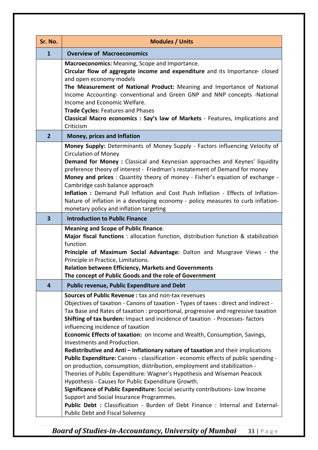| Sr. No.        | <b>Modules / Units</b>                                                                                                                                                                                                                                                                                                                                                                                                                                                                                                                                                                                           |
|----------------|------------------------------------------------------------------------------------------------------------------------------------------------------------------------------------------------------------------------------------------------------------------------------------------------------------------------------------------------------------------------------------------------------------------------------------------------------------------------------------------------------------------------------------------------------------------------------------------------------------------|
| $\mathbf{1}$   | <b>Overview of Macroeconomics</b>                                                                                                                                                                                                                                                                                                                                                                                                                                                                                                                                                                                |
|                | Macroeconomics: Meaning, Scope and Importance.<br>Circular flow of aggregate income and expenditure and its Importance-closed<br>and open economy models<br>The Measurement of National Product: Meaning and Importance of National<br>Income Accounting- conventional and Green GNP and NNP concepts -National<br>Income and Economic Welfare.<br>Trade Cycles: Features and Phases<br>Classical Macro economics : Say's law of Markets - Features, Implications and<br>Criticism                                                                                                                               |
| $\overline{2}$ | <b>Money, prices and Inflation</b>                                                                                                                                                                                                                                                                                                                                                                                                                                                                                                                                                                               |
|                | Money Supply: Determinants of Money Supply - Factors influencing Velocity of<br><b>Circulation of Money</b><br>Demand for Money : Classical and Keynesian approaches and Keynes' liquidity<br>preference theory of interest - Friedman's restatement of Demand for money<br>Money and prices : Quantity theory of money - Fisher's equation of exchange -<br>Cambridge cash balance approach<br>Inflation : Demand Pull Inflation and Cost Push Inflation - Effects of Inflation-<br>Nature of inflation in a developing economy - policy measures to curb inflation-<br>monetary policy and inflation targeting |
| 3              | <b>Introduction to Public Finance</b>                                                                                                                                                                                                                                                                                                                                                                                                                                                                                                                                                                            |
|                | <b>Meaning and Scope of Public finance.</b><br><b>Major fiscal functions</b> : allocation function, distribution function & stabilization<br>function<br>Principle of Maximum Social Advantage: Dalton and Musgrave Views - the<br>Principle in Practice, Limitations.<br><b>Relation between Efficiency, Markets and Governments</b><br>The concept of Public Goods and the role of Government                                                                                                                                                                                                                  |
| 4              | <b>Public revenue, Public Expenditure and Debt</b>                                                                                                                                                                                                                                                                                                                                                                                                                                                                                                                                                               |
|                | <b>Sources of Public Revenue: tax and non-tax revenues</b><br>Objectives of taxation - Canons of taxation - Types of taxes : direct and indirect -<br>Tax Base and Rates of taxation: proportional, progressive and regressive taxation<br>Shifting of tax burden: Impact and incidence of taxation - Processes-factors<br>influencing incidence of taxation<br>Economic Effects of taxation: on Income and Wealth, Consumption, Savings,<br>Investments and Production.                                                                                                                                         |
|                | Redistributive and Anti - Inflationary nature of taxation and their implications<br>Public Expenditure: Canons - classification - economic effects of public spending -                                                                                                                                                                                                                                                                                                                                                                                                                                          |
|                | on production, consumption, distribution, employment and stabilization -<br>Theories of Public Expenditure: Wagner's Hypothesis and Wiseman Peacock<br>Hypothesis - Causes for Public Expenditure Growth.<br>Significance of Public Expenditure: Social security contributions- Low Income<br>Support and Social Insurance Programmes.                                                                                                                                                                                                                                                                           |
|                | Public Debt : Classification - Burden of Debt Finance : Internal and External-<br><b>Public Debt and Fiscal Solvency</b>                                                                                                                                                                                                                                                                                                                                                                                                                                                                                         |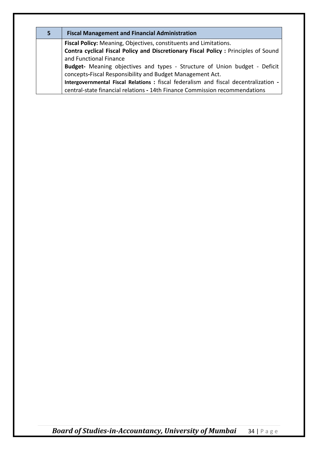| 5. | <b>Fiscal Management and Financial Administration</b>                                |  |
|----|--------------------------------------------------------------------------------------|--|
|    | <b>Fiscal Policy:</b> Meaning, Objectives, constituents and Limitations.             |  |
|    | Contra cyclical Fiscal Policy and Discretionary Fiscal Policy : Principles of Sound  |  |
|    | and Functional Finance                                                               |  |
|    | Budget- Meaning objectives and types - Structure of Union budget - Deficit           |  |
|    | concepts-Fiscal Responsibility and Budget Management Act.                            |  |
|    | Intergovernmental Fiscal Relations : fiscal federalism and fiscal decentralization - |  |
|    | central-state financial relations - 14th Finance Commission recommendations          |  |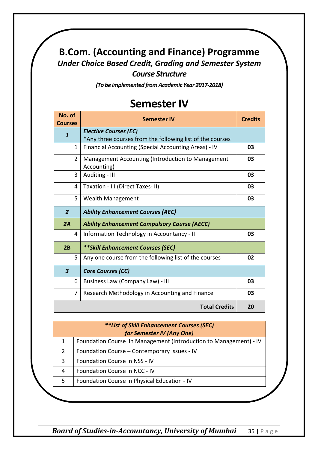#### **B.Com. (Accounting and Finance) Programme** *Under Choice Based Credit, Grading and Semester System Course Structure*

*(To be implemented from Academic Year 2017-2018)*

#### **Semester IV**

| No. of<br><b>Courses</b> | <b>Semester IV</b>                                                                        | <b>Credits</b> |
|--------------------------|-------------------------------------------------------------------------------------------|----------------|
| $\mathbf{1}$             | <b>Elective Courses (EC)</b><br>*Any three courses from the following list of the courses |                |
| 1                        | Financial Accounting (Special Accounting Areas) - IV                                      | 03             |
| $\overline{2}$           | Management Accounting (Introduction to Management<br>Accounting)                          | 03             |
| 3                        | Auditing - III                                                                            | 03             |
| 4                        | Taxation - III (Direct Taxes- II)                                                         | 03             |
| 5                        | <b>Wealth Management</b>                                                                  | 03             |
| $\overline{2}$           | <b>Ability Enhancement Courses (AEC)</b>                                                  |                |
| 2A                       | <b>Ability Enhancement Compulsory Course (AECC)</b>                                       |                |
| 4                        | Information Technology in Accountancy - II                                                | 03             |
| 2B                       | <b>**Skill Enhancement Courses (SEC)</b>                                                  |                |
| 5                        | Any one course from the following list of the courses                                     | 02             |
| $\boldsymbol{3}$         | <b>Core Courses (CC)</b>                                                                  |                |
| 6                        | Business Law (Company Law) - III                                                          | 03             |
| 7                        | Research Methodology in Accounting and Finance                                            | 03             |
| <b>Total Credits</b>     |                                                                                           |                |

| <i>**List of Skill Enhancement Courses (SEC)</i> |                                                                   |  |  |  |
|--------------------------------------------------|-------------------------------------------------------------------|--|--|--|
| for Semester IV (Any One)                        |                                                                   |  |  |  |
| 1                                                | Foundation Course in Management (Introduction to Management) - IV |  |  |  |
|                                                  | Foundation Course - Contemporary Issues - IV                      |  |  |  |
| 3                                                | Foundation Course in NSS - IV                                     |  |  |  |
| 4                                                | Foundation Course in NCC - IV                                     |  |  |  |
|                                                  | Foundation Course in Physical Education - IV                      |  |  |  |
|                                                  |                                                                   |  |  |  |

*Board of Studies-in-Accountancy, University of Mumbai* 35 | Page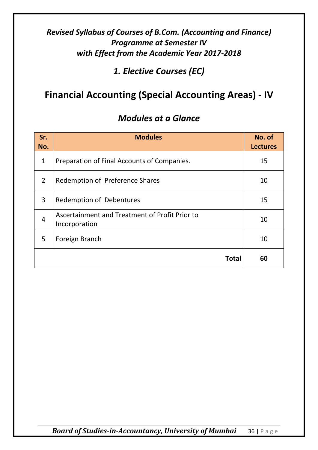*1. Elective Courses (EC)*

### **Financial Accounting (Special Accounting Areas) - IV**

| Sr.<br>No.     | <b>Modules</b>                                                  | No. of<br><b>Lectures</b> |
|----------------|-----------------------------------------------------------------|---------------------------|
| $\mathbf{1}$   | Preparation of Final Accounts of Companies.                     | 15                        |
| $\overline{2}$ | Redemption of Preference Shares                                 | 10                        |
| 3              | Redemption of Debentures                                        | 15                        |
| 4              | Ascertainment and Treatment of Profit Prior to<br>Incorporation | 10                        |
| 5              | Foreign Branch                                                  | 10                        |
|                | Total                                                           | 60                        |

#### *Modules at a Glance*

*Board of Studies-in-Accountancy, University of Mumbai* 36 | Page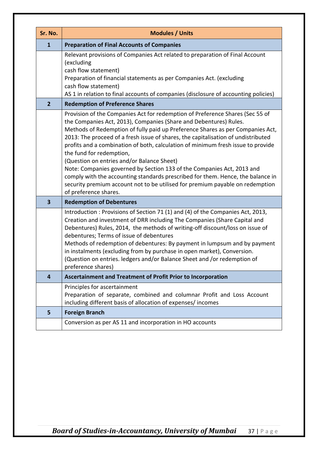| Sr. No.                 | <b>Modules / Units</b>                                                                                                                                                                                                                                                                                                                                                                                                                                                                                                                                                                                                                                                                                                                                         |  |  |
|-------------------------|----------------------------------------------------------------------------------------------------------------------------------------------------------------------------------------------------------------------------------------------------------------------------------------------------------------------------------------------------------------------------------------------------------------------------------------------------------------------------------------------------------------------------------------------------------------------------------------------------------------------------------------------------------------------------------------------------------------------------------------------------------------|--|--|
| $\mathbf{1}$            | <b>Preparation of Final Accounts of Companies</b>                                                                                                                                                                                                                                                                                                                                                                                                                                                                                                                                                                                                                                                                                                              |  |  |
|                         | Relevant provisions of Companies Act related to preparation of Final Account<br>(excluding<br>cash flow statement)<br>Preparation of financial statements as per Companies Act. (excluding<br>cash flow statement)<br>AS 1 in relation to final accounts of companies (disclosure of accounting policies)                                                                                                                                                                                                                                                                                                                                                                                                                                                      |  |  |
| $\overline{2}$          | <b>Redemption of Preference Shares</b>                                                                                                                                                                                                                                                                                                                                                                                                                                                                                                                                                                                                                                                                                                                         |  |  |
|                         | Provision of the Companies Act for redemption of Preference Shares (Sec 55 of<br>the Companies Act, 2013), Companies (Share and Debentures) Rules.<br>Methods of Redemption of fully paid up Preference Shares as per Companies Act,<br>2013: The proceed of a fresh issue of shares, the capitalisation of undistributed<br>profits and a combination of both, calculation of minimum fresh issue to provide<br>the fund for redemption,<br>(Question on entries and/or Balance Sheet)<br>Note: Companies governed by Section 133 of the Companies Act, 2013 and<br>comply with the accounting standards prescribed for them. Hence, the balance in<br>security premium account not to be utilised for premium payable on redemption<br>of preference shares. |  |  |
| $\overline{\mathbf{3}}$ | <b>Redemption of Debentures</b>                                                                                                                                                                                                                                                                                                                                                                                                                                                                                                                                                                                                                                                                                                                                |  |  |
|                         | Introduction: Provisions of Section 71 (1) and (4) of the Companies Act, 2013,<br>Creation and investment of DRR including The Companies (Share Capital and<br>Debentures) Rules, 2014, the methods of writing-off discount/loss on issue of<br>debentures; Terms of issue of debentures<br>Methods of redemption of debentures: By payment in lumpsum and by payment<br>in instalments (excluding from by purchase in open market), Conversion.<br>(Question on entries. ledgers and/or Balance Sheet and /or redemption of<br>preference shares)                                                                                                                                                                                                             |  |  |
| 4                       | <b>Ascertainment and Treatment of Profit Prior to Incorporation</b>                                                                                                                                                                                                                                                                                                                                                                                                                                                                                                                                                                                                                                                                                            |  |  |
|                         | Principles for ascertainment<br>Preparation of separate, combined and columnar Profit and Loss Account<br>including different basis of allocation of expenses/incomes                                                                                                                                                                                                                                                                                                                                                                                                                                                                                                                                                                                          |  |  |
| 5                       | <b>Foreign Branch</b>                                                                                                                                                                                                                                                                                                                                                                                                                                                                                                                                                                                                                                                                                                                                          |  |  |
|                         | Conversion as per AS 11 and incorporation in HO accounts                                                                                                                                                                                                                                                                                                                                                                                                                                                                                                                                                                                                                                                                                                       |  |  |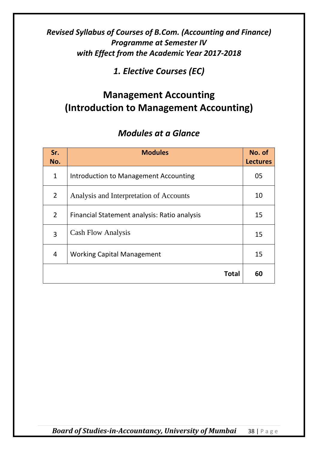*1. Elective Courses (EC)*

# **Management Accounting (Introduction to Management Accounting)**

# *Modules at a Glance*

| Sr.<br>No.     | <b>Modules</b>                               | No. of<br><b>Lectures</b> |
|----------------|----------------------------------------------|---------------------------|
| $\mathbf{1}$   | Introduction to Management Accounting        | 05                        |
| $\overline{2}$ | Analysis and Interpretation of Accounts      | 10                        |
| $\overline{2}$ | Financial Statement analysis: Ratio analysis | 15                        |
| 3              | <b>Cash Flow Analysis</b>                    | 15                        |
| 4              | <b>Working Capital Management</b>            | 15                        |
|                | <b>Total</b>                                 | 60                        |

*Board of Studies-in-Accountancy, University of Mumbai* 38 | Page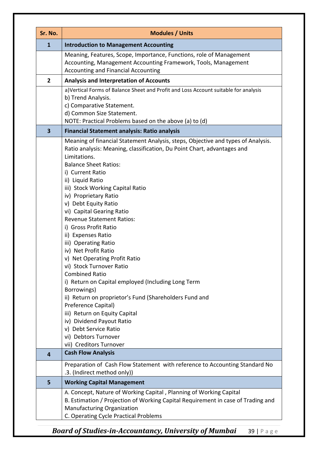| Sr. No.                 | <b>Modules / Units</b>                                                                                                                                                                                                                                                                                                                                                                                                                                                                                                                                                                                                                                                                                                                                                                                                                                                                         |  |  |
|-------------------------|------------------------------------------------------------------------------------------------------------------------------------------------------------------------------------------------------------------------------------------------------------------------------------------------------------------------------------------------------------------------------------------------------------------------------------------------------------------------------------------------------------------------------------------------------------------------------------------------------------------------------------------------------------------------------------------------------------------------------------------------------------------------------------------------------------------------------------------------------------------------------------------------|--|--|
| $\mathbf{1}$            | <b>Introduction to Management Accounting</b>                                                                                                                                                                                                                                                                                                                                                                                                                                                                                                                                                                                                                                                                                                                                                                                                                                                   |  |  |
|                         | Meaning, Features, Scope, Importance, Functions, role of Management<br>Accounting, Management Accounting Framework, Tools, Management<br><b>Accounting and Financial Accounting</b>                                                                                                                                                                                                                                                                                                                                                                                                                                                                                                                                                                                                                                                                                                            |  |  |
| $\overline{2}$          | <b>Analysis and Interpretation of Accounts</b>                                                                                                                                                                                                                                                                                                                                                                                                                                                                                                                                                                                                                                                                                                                                                                                                                                                 |  |  |
|                         | a)Vertical Forms of Balance Sheet and Profit and Loss Account suitable for analysis<br>b) Trend Analysis.<br>c) Comparative Statement.<br>d) Common Size Statement.<br>NOTE: Practical Problems based on the above (a) to (d)                                                                                                                                                                                                                                                                                                                                                                                                                                                                                                                                                                                                                                                                  |  |  |
| $\overline{\mathbf{3}}$ | <b>Financial Statement analysis: Ratio analysis</b>                                                                                                                                                                                                                                                                                                                                                                                                                                                                                                                                                                                                                                                                                                                                                                                                                                            |  |  |
|                         | Meaning of financial Statement Analysis, steps, Objective and types of Analysis.<br>Ratio analysis: Meaning, classification, Du Point Chart, advantages and<br>Limitations.<br><b>Balance Sheet Ratios:</b><br>i) Current Ratio<br>ii) Liquid Ratio<br>iii) Stock Working Capital Ratio<br>iv) Proprietary Ratio<br>v) Debt Equity Ratio<br>vi) Capital Gearing Ratio<br><b>Revenue Statement Ratios:</b><br>i) Gross Profit Ratio<br>ii) Expenses Ratio<br>iii) Operating Ratio<br>iv) Net Profit Ratio<br>v) Net Operating Profit Ratio<br>vi) Stock Turnover Ratio<br><b>Combined Ratio</b><br>i) Return on Capital employed (Including Long Term<br>Borrowings)<br>ii) Return on proprietor's Fund (Shareholders Fund and<br>Preference Capital)<br>iii) Return on Equity Capital<br>iv) Dividend Payout Ratio<br>v) Debt Service Ratio<br>vi) Debtors Turnover<br>vii) Creditors Turnover |  |  |
| 4                       | <b>Cash Flow Analysis</b>                                                                                                                                                                                                                                                                                                                                                                                                                                                                                                                                                                                                                                                                                                                                                                                                                                                                      |  |  |
|                         | Preparation of Cash Flow Statement with reference to Accounting Standard No<br>.3. (Indirect method only))                                                                                                                                                                                                                                                                                                                                                                                                                                                                                                                                                                                                                                                                                                                                                                                     |  |  |
| 5                       | <b>Working Capital Management</b>                                                                                                                                                                                                                                                                                                                                                                                                                                                                                                                                                                                                                                                                                                                                                                                                                                                              |  |  |
|                         | A. Concept, Nature of Working Capital, Planning of Working Capital<br>B. Estimation / Projection of Working Capital Requirement in case of Trading and<br>Manufacturing Organization<br>C. Operating Cycle Practical Problems                                                                                                                                                                                                                                                                                                                                                                                                                                                                                                                                                                                                                                                                  |  |  |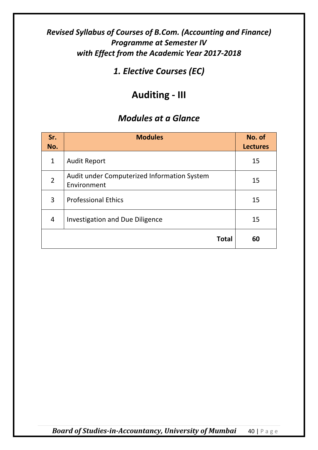*1. Elective Courses (EC)*

# **Auditing - III**

| Sr.<br>No.     | <b>Modules</b>                                             | No. of<br><b>Lectures</b> |
|----------------|------------------------------------------------------------|---------------------------|
| $\mathbf{1}$   | <b>Audit Report</b>                                        | 15                        |
| $\overline{2}$ | Audit under Computerized Information System<br>Environment | 15                        |
| 3              | <b>Professional Ethics</b>                                 | 15                        |
| 4              | Investigation and Due Diligence                            | 15                        |
|                | <b>Total</b>                                               | 60                        |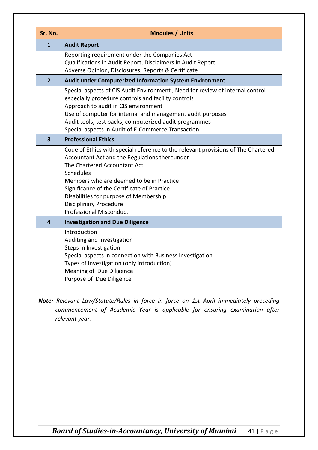| Sr. No.                 | <b>Modules / Units</b>                                                                                                                                                                                                                                                                                                                                                                         |
|-------------------------|------------------------------------------------------------------------------------------------------------------------------------------------------------------------------------------------------------------------------------------------------------------------------------------------------------------------------------------------------------------------------------------------|
| $\mathbf{1}$            | <b>Audit Report</b>                                                                                                                                                                                                                                                                                                                                                                            |
|                         | Reporting requirement under the Companies Act<br>Qualifications in Audit Report, Disclaimers in Audit Report<br>Adverse Opinion, Disclosures, Reports & Certificate                                                                                                                                                                                                                            |
| $\overline{2}$          | Audit under Computerized Information System Environment                                                                                                                                                                                                                                                                                                                                        |
|                         | Special aspects of CIS Audit Environment, Need for review of internal control<br>especially procedure controls and facility controls<br>Approach to audit in CIS environment<br>Use of computer for internal and management audit purposes<br>Audit tools, test packs, computerized audit programmes<br>Special aspects in Audit of E-Commerce Transaction.                                    |
| $\overline{\mathbf{3}}$ | <b>Professional Ethics</b>                                                                                                                                                                                                                                                                                                                                                                     |
|                         | Code of Ethics with special reference to the relevant provisions of The Chartered<br>Accountant Act and the Regulations thereunder<br>The Chartered Accountant Act<br><b>Schedules</b><br>Members who are deemed to be in Practice<br>Significance of the Certificate of Practice<br>Disabilities for purpose of Membership<br><b>Disciplinary Procedure</b><br><b>Professional Misconduct</b> |
| $\overline{\mathbf{4}}$ | <b>Investigation and Due Diligence</b>                                                                                                                                                                                                                                                                                                                                                         |
|                         | Introduction<br>Auditing and Investigation<br>Steps in Investigation<br>Special aspects in connection with Business Investigation<br>Types of Investigation (only introduction)<br>Meaning of Due Diligence<br>Purpose of Due Diligence                                                                                                                                                        |

*Note: Relevant Law/Statute/Rules in force in force on 1st April immediately preceding commencement of Academic Year is applicable for ensuring examination after relevant year.*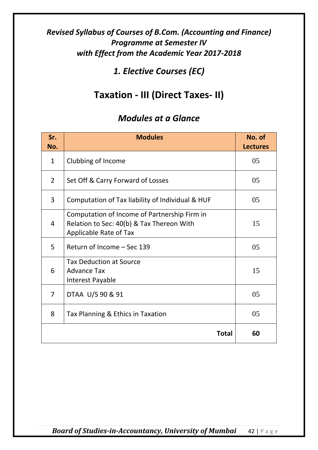# *1. Elective Courses (EC)*

# **Taxation - III (Direct Taxes- II)**

| Sr.<br>No.     | <b>Modules</b>                                                                                                      | No. of<br><b>Lectures</b> |
|----------------|---------------------------------------------------------------------------------------------------------------------|---------------------------|
| $\mathbf{1}$   | Clubbing of Income                                                                                                  | 05                        |
| $\overline{2}$ | Set Off & Carry Forward of Losses                                                                                   | 05                        |
| 3              | Computation of Tax liability of Individual & HUF                                                                    | 05                        |
| $\overline{4}$ | Computation of Income of Partnership Firm in<br>Relation to Sec: 40(b) & Tax Thereon With<br>Applicable Rate of Tax | 15                        |
| 5              | Return of Income - Sec 139                                                                                          | 05                        |
| 6              | <b>Tax Deduction at Source</b><br><b>Advance Tax</b><br>Interest Payable                                            | 15                        |
| $\overline{7}$ | DTAA U/S 90 & 91                                                                                                    | 05                        |
| 8              | Tax Planning & Ethics in Taxation                                                                                   | 05                        |
|                | Total                                                                                                               | 60                        |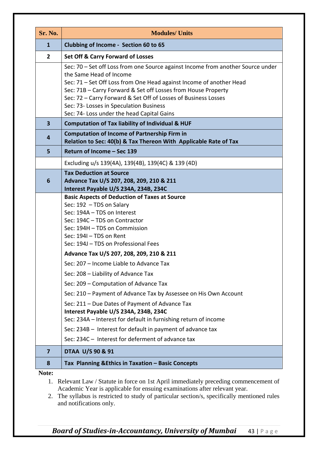| Sr. No.                 | <b>Modules/ Units</b>                                                                                                                                                                                                                                                                                                                                                                                         |
|-------------------------|---------------------------------------------------------------------------------------------------------------------------------------------------------------------------------------------------------------------------------------------------------------------------------------------------------------------------------------------------------------------------------------------------------------|
| $\mathbf{1}$            | Clubbing of Income - Section 60 to 65                                                                                                                                                                                                                                                                                                                                                                         |
| $\overline{2}$          | <b>Set Off &amp; Carry Forward of Losses</b>                                                                                                                                                                                                                                                                                                                                                                  |
|                         | Sec: 70 – Set off Loss from one Source against Income from another Source under<br>the Same Head of Income<br>Sec: 71 - Set Off Loss from One Head against Income of another Head<br>Sec: 71B - Carry Forward & Set off Losses from House Property<br>Sec: 72 - Carry Forward & Set Off of Losses of Business Losses<br>Sec: 73- Losses in Speculation Business<br>Sec: 74- Loss under the head Capital Gains |
| $\overline{\mathbf{3}}$ | <b>Computation of Tax liability of Individual &amp; HUF</b>                                                                                                                                                                                                                                                                                                                                                   |
| 4                       | <b>Computation of Income of Partnership Firm in</b><br>Relation to Sec: 40(b) & Tax Thereon With Applicable Rate of Tax                                                                                                                                                                                                                                                                                       |
| 5                       | Return of Income - Sec 139                                                                                                                                                                                                                                                                                                                                                                                    |
|                         | Excluding u/s 139(4A), 139(4B), 139(4C) & 139 (4D)                                                                                                                                                                                                                                                                                                                                                            |
| 6                       | <b>Tax Deduction at Source</b><br>Advance Tax U/S 207, 208, 209, 210 & 211<br>Interest Payable U/S 234A, 234B, 234C                                                                                                                                                                                                                                                                                           |
|                         | <b>Basic Aspects of Deduction of Taxes at Source</b><br>Sec: 192 - TDS on Salary<br>Sec: 194A - TDS on Interest<br>Sec: 194C - TDS on Contractor<br>Sec: 194H - TDS on Commission<br>Sec: 194I - TDS on Rent<br>Sec: 194J - TDS on Professional Fees                                                                                                                                                          |
|                         | Advance Tax U/S 207, 208, 209, 210 & 211                                                                                                                                                                                                                                                                                                                                                                      |
|                         | Sec: 207 - Income Liable to Advance Tax                                                                                                                                                                                                                                                                                                                                                                       |
|                         | Sec: 208 - Liability of Advance Tax                                                                                                                                                                                                                                                                                                                                                                           |
|                         | Sec: 209 - Computation of Advance Tax                                                                                                                                                                                                                                                                                                                                                                         |
|                         | Sec: 210 - Payment of Advance Tax by Assessee on His Own Account<br>Sec: 211 - Due Dates of Payment of Advance Tax<br>Interest Payable U/S 234A, 234B, 234C<br>Sec: 234A - Interest for default in furnishing return of income                                                                                                                                                                                |
|                         | Sec: 234B - Interest for default in payment of advance tax                                                                                                                                                                                                                                                                                                                                                    |
|                         | Sec: 234C - Interest for deferment of advance tax                                                                                                                                                                                                                                                                                                                                                             |
| $\overline{7}$          | DTAA U/S 90 & 91                                                                                                                                                                                                                                                                                                                                                                                              |
| 8                       | Tax Planning & Ethics in Taxation - Basic Concepts                                                                                                                                                                                                                                                                                                                                                            |
| Note:                   |                                                                                                                                                                                                                                                                                                                                                                                                               |

1. Relevant Law / Statute in force on 1st April immediately preceding commencement of Academic Year is applicable for ensuing examinations after relevant year.

2. The syllabus is restricted to study of particular section/s, specifically mentioned rules and notifications only.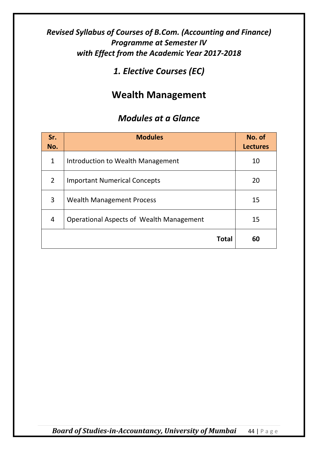# *1. Elective Courses (EC)*

# **Wealth Management**

### *Modules at a Glance*

| Sr.<br>No.     | <b>Modules</b>                           | No. of<br><b>Lectures</b> |
|----------------|------------------------------------------|---------------------------|
| $\mathbf{1}$   | Introduction to Wealth Management        | 10                        |
| $\overline{2}$ | <b>Important Numerical Concepts</b>      | 20                        |
| 3              | <b>Wealth Management Process</b>         | 15                        |
| 4              | Operational Aspects of Wealth Management | 15                        |
|                | <b>Total</b>                             | 60                        |

*Board of Studies-in-Accountancy, University of Mumbai* 44 | Page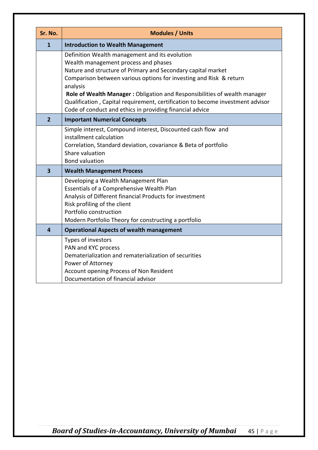| Sr. No.                 | <b>Modules / Units</b>                                                                                                                                                                                                                                                                                                                                                                                  |
|-------------------------|---------------------------------------------------------------------------------------------------------------------------------------------------------------------------------------------------------------------------------------------------------------------------------------------------------------------------------------------------------------------------------------------------------|
| $\mathbf{1}$            | <b>Introduction to Wealth Management</b>                                                                                                                                                                                                                                                                                                                                                                |
|                         | Definition Wealth management and its evolution<br>Wealth management process and phases<br>Nature and structure of Primary and Secondary capital market<br>Comparison between various options for investing and Risk & return<br>analysis<br>Role of Wealth Manager: Obligation and Responsibilities of wealth manager<br>Qualification, Capital requirement, certification to become investment advisor |
| $\overline{2}$          | Code of conduct and ethics in providing financial advice<br><b>Important Numerical Concepts</b>                                                                                                                                                                                                                                                                                                         |
|                         | Simple interest, Compound interest, Discounted cash flow and<br>installment calculation<br>Correlation, Standard deviation, covariance & Beta of portfolio<br>Share valuation<br><b>Bond valuation</b>                                                                                                                                                                                                  |
| $\overline{\mathbf{3}}$ | <b>Wealth Management Process</b>                                                                                                                                                                                                                                                                                                                                                                        |
|                         | Developing a Wealth Management Plan<br>Essentials of a Comprehensive Wealth Plan<br>Analysis of Different financial Products for investment<br>Risk profiling of the client<br>Portfolio construction<br>Modern Portfolio Theory for constructing a portfolio                                                                                                                                           |
| 4                       | <b>Operational Aspects of wealth management</b>                                                                                                                                                                                                                                                                                                                                                         |
|                         | Types of investors<br>PAN and KYC process<br>Dematerialization and rematerialization of securities<br>Power of Attorney<br>Account opening Process of Non Resident<br>Documentation of financial advisor                                                                                                                                                                                                |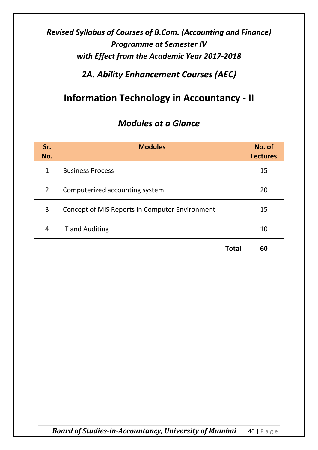# *2A. Ability Enhancement Courses (AEC)*

# **Information Technology in Accountancy - II**

| Sr.<br>No.     | <b>Modules</b>                                 | No. of<br><b>Lectures</b> |
|----------------|------------------------------------------------|---------------------------|
| $\mathbf{1}$   | <b>Business Process</b>                        | 15                        |
| $\overline{2}$ | Computerized accounting system                 | 20                        |
| 3              | Concept of MIS Reports in Computer Environment | 15                        |
| 4              | <b>IT and Auditing</b>                         | 10                        |
|                | <b>Total</b>                                   | 60                        |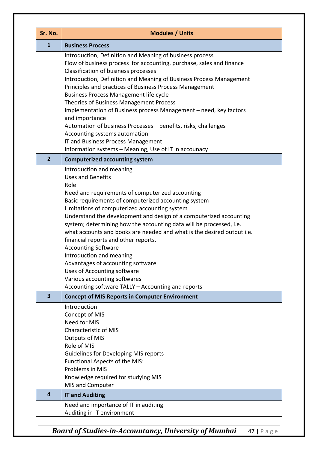| Sr. No.                 | <b>Modules / Units</b>                                                                                                                                                                                                                                                                                                                                                                                                                                                                                                                                                                                                                                                                                       |
|-------------------------|--------------------------------------------------------------------------------------------------------------------------------------------------------------------------------------------------------------------------------------------------------------------------------------------------------------------------------------------------------------------------------------------------------------------------------------------------------------------------------------------------------------------------------------------------------------------------------------------------------------------------------------------------------------------------------------------------------------|
| $\mathbf{1}$            | <b>Business Process</b>                                                                                                                                                                                                                                                                                                                                                                                                                                                                                                                                                                                                                                                                                      |
|                         | Introduction, Definition and Meaning of business process<br>Flow of business process for accounting, purchase, sales and finance<br>Classification of business processes<br>Introduction, Definition and Meaning of Business Process Management<br>Principles and practices of Business Process Management<br><b>Business Process Management life cycle</b><br>Theories of Business Management Process<br>Implementation of Business process Management – need, key factors<br>and importance<br>Automation of business Processes - benefits, risks, challenges<br>Accounting systems automation<br>IT and Business Process Management<br>Information systems - Meaning, Use of IT in accounacy              |
| $\overline{2}$          | <b>Computerized accounting system</b>                                                                                                                                                                                                                                                                                                                                                                                                                                                                                                                                                                                                                                                                        |
|                         | Introduction and meaning<br><b>Uses and Benefits</b><br>Role<br>Need and requirements of computerized accounting<br>Basic requirements of computerized accounting system<br>Limitations of computerized accounting system<br>Understand the development and design of a computerized accounting<br>system; determining how the accounting data will be processed, i.e.<br>what accounts and books are needed and what is the desired output i.e.<br>financial reports and other reports.<br><b>Accounting Software</b><br>Introduction and meaning<br>Advantages of accounting software<br>Uses of Accounting software<br>Various accounting softwares<br>Accounting software TALLY - Accounting and reports |
| $\overline{\mathbf{3}}$ | <b>Concept of MIS Reports in Computer Environment</b>                                                                                                                                                                                                                                                                                                                                                                                                                                                                                                                                                                                                                                                        |
|                         | Introduction<br>Concept of MIS<br>Need for MIS<br><b>Characteristic of MIS</b><br><b>Outputs of MIS</b><br>Role of MIS<br><b>Guidelines for Developing MIS reports</b><br>Functional Aspects of the MIS:<br>Problems in MIS<br>Knowledge required for studying MIS<br>MIS and Computer                                                                                                                                                                                                                                                                                                                                                                                                                       |
| 4                       | <b>IT and Auditing</b>                                                                                                                                                                                                                                                                                                                                                                                                                                                                                                                                                                                                                                                                                       |
|                         | Need and importance of IT in auditing<br>Auditing in IT environment                                                                                                                                                                                                                                                                                                                                                                                                                                                                                                                                                                                                                                          |

*Board of Studies-in-Accountancy, University of Mumbai* 47 | Page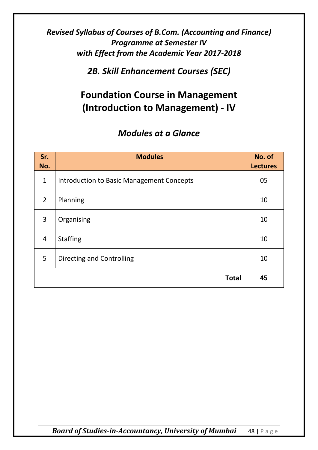*2B. Skill Enhancement Courses (SEC)*

# **Foundation Course in Management (Introduction to Management) - IV**

| Sr.<br>No.     | <b>Modules</b>                            | No. of<br><b>Lectures</b> |
|----------------|-------------------------------------------|---------------------------|
| $\mathbf{1}$   | Introduction to Basic Management Concepts | 05                        |
| $\overline{2}$ | Planning                                  | 10                        |
| 3              | Organising                                | 10                        |
| $\overline{4}$ | <b>Staffing</b>                           | 10                        |
| 5              | Directing and Controlling                 | 10                        |
|                | <b>Total</b>                              | 45                        |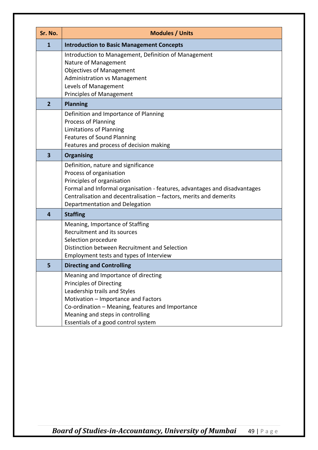| Sr. No.        | <b>Modules / Units</b>                                                                                                                                                                                                                                                            |
|----------------|-----------------------------------------------------------------------------------------------------------------------------------------------------------------------------------------------------------------------------------------------------------------------------------|
| $\mathbf{1}$   | <b>Introduction to Basic Management Concepts</b>                                                                                                                                                                                                                                  |
|                | Introduction to Management, Definition of Management<br>Nature of Management<br><b>Objectives of Management</b><br><b>Administration vs Management</b><br>Levels of Management<br><b>Principles of Management</b>                                                                 |
| $\overline{2}$ | <b>Planning</b>                                                                                                                                                                                                                                                                   |
|                | Definition and Importance of Planning<br>Process of Planning<br>Limitations of Planning<br><b>Features of Sound Planning</b><br>Features and process of decision making                                                                                                           |
| 3              | <b>Organising</b>                                                                                                                                                                                                                                                                 |
|                | Definition, nature and significance<br>Process of organisation<br>Principles of organisation<br>Formal and Informal organisation - features, advantages and disadvantages<br>Centralisation and decentralisation - factors, merits and demerits<br>Departmentation and Delegation |
| 4              | <b>Staffing</b>                                                                                                                                                                                                                                                                   |
|                | Meaning, Importance of Staffing<br>Recruitment and its sources<br>Selection procedure<br>Distinction between Recruitment and Selection<br>Employment tests and types of Interview                                                                                                 |
| 5              | <b>Directing and Controlling</b>                                                                                                                                                                                                                                                  |
|                | Meaning and Importance of directing<br><b>Principles of Directing</b><br>Leadership trails and Styles<br>Motivation - Importance and Factors<br>Co-ordination - Meaning, features and Importance<br>Meaning and steps in controlling<br>Essentials of a good control system       |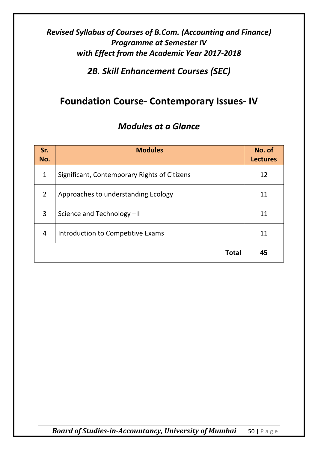# *2B. Skill Enhancement Courses (SEC)*

# **Foundation Course- Contemporary Issues- IV**

| Sr.<br>No.   | <b>Modules</b>                               | No. of<br><b>Lectures</b> |
|--------------|----------------------------------------------|---------------------------|
| $\mathbf{1}$ | Significant, Contemporary Rights of Citizens | 12                        |
| 2            | Approaches to understanding Ecology          | 11                        |
| 3            | Science and Technology -II                   | 11                        |
| 4            | Introduction to Competitive Exams            | 11                        |
|              | <b>Total</b>                                 | 45                        |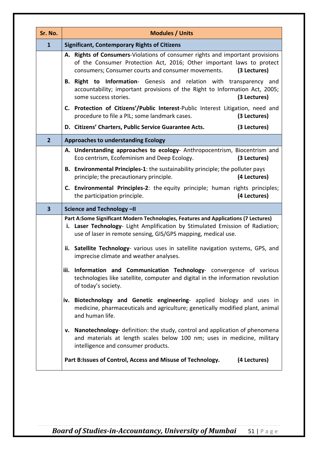| Sr. No.                 | <b>Modules / Units</b>                                                                                                                                                                                                                                                                                                                                        |                                                                                                                                                                                                                                       |
|-------------------------|---------------------------------------------------------------------------------------------------------------------------------------------------------------------------------------------------------------------------------------------------------------------------------------------------------------------------------------------------------------|---------------------------------------------------------------------------------------------------------------------------------------------------------------------------------------------------------------------------------------|
| $\mathbf{1}$            | <b>Significant, Contemporary Rights of Citizens</b>                                                                                                                                                                                                                                                                                                           |                                                                                                                                                                                                                                       |
|                         |                                                                                                                                                                                                                                                                                                                                                               | A. Rights of Consumers-Violations of consumer rights and important provisions<br>of the Consumer Protection Act, 2016; Other important laws to protect<br>consumers; Consumer courts and consumer movements.<br>(3 Lectures)          |
|                         |                                                                                                                                                                                                                                                                                                                                                               | <b>B. Right to Information-</b> Genesis and relation with transparency and<br>accountability; important provisions of the Right to Information Act, 2005;<br>some success stories.<br>(3 Lectures)                                    |
|                         |                                                                                                                                                                                                                                                                                                                                                               | C. Protection of Citizens'/Public Interest-Public Interest Litigation, need and<br>procedure to file a PIL; some landmark cases.<br>(3 Lectures)                                                                                      |
|                         |                                                                                                                                                                                                                                                                                                                                                               | D. Citizens' Charters, Public Service Guarantee Acts.<br>(3 Lectures)                                                                                                                                                                 |
| $\overline{2}$          |                                                                                                                                                                                                                                                                                                                                                               | <b>Approaches to understanding Ecology</b>                                                                                                                                                                                            |
|                         |                                                                                                                                                                                                                                                                                                                                                               | A. Understanding approaches to ecology- Anthropocentrism, Biocentrism and<br>Eco centrism, Ecofeminism and Deep Ecology.<br>(3 Lectures)                                                                                              |
|                         |                                                                                                                                                                                                                                                                                                                                                               | <b>B.</b> Environmental Principles-1: the sustainability principle; the polluter pays<br>(4 Lectures)<br>principle; the precautionary principle.                                                                                      |
|                         |                                                                                                                                                                                                                                                                                                                                                               | <b>C.</b> Environmental Principles-2: the equity principle; human rights principles;<br>(4 Lectures)<br>the participation principle.                                                                                                  |
| $\overline{\mathbf{3}}$ |                                                                                                                                                                                                                                                                                                                                                               | Science and Technology -II                                                                                                                                                                                                            |
|                         |                                                                                                                                                                                                                                                                                                                                                               | Part A:Some Significant Modern Technologies, Features and Applications (7 Lectures)<br>i. Laser Technology- Light Amplification by Stimulated Emission of Radiation;<br>use of laser in remote sensing, GIS/GPS mapping, medical use. |
|                         | ii. Satellite Technology- various uses in satellite navigation systems, GPS, and<br>imprecise climate and weather analyses.                                                                                                                                                                                                                                   |                                                                                                                                                                                                                                       |
|                         | iii. Information and Communication Technology- convergence of various<br>technologies like satellite, computer and digital in the information revolution<br>of today's society.<br>iv. Biotechnology and Genetic engineering- applied biology and uses in<br>medicine, pharmaceuticals and agriculture; genetically modified plant, animal<br>and human life. |                                                                                                                                                                                                                                       |
|                         |                                                                                                                                                                                                                                                                                                                                                               |                                                                                                                                                                                                                                       |
|                         |                                                                                                                                                                                                                                                                                                                                                               | v. Nanotechnology- definition: the study, control and application of phenomena<br>and materials at length scales below 100 nm; uses in medicine, military<br>intelligence and consumer products.                                      |
|                         |                                                                                                                                                                                                                                                                                                                                                               | Part B:Issues of Control, Access and Misuse of Technology.<br>(4 Lectures)                                                                                                                                                            |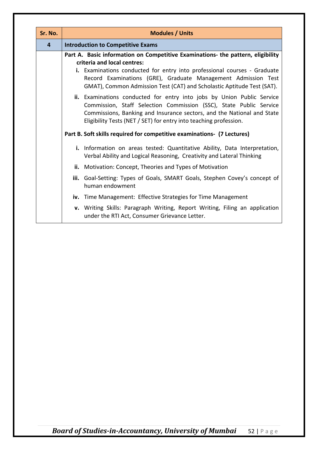| Sr. No. | <b>Modules / Units</b>                                                                                                                                                                                                                                                                                                                                                                                                                                                                                             |                                                                                                                              |  |
|---------|--------------------------------------------------------------------------------------------------------------------------------------------------------------------------------------------------------------------------------------------------------------------------------------------------------------------------------------------------------------------------------------------------------------------------------------------------------------------------------------------------------------------|------------------------------------------------------------------------------------------------------------------------------|--|
| 4       | <b>Introduction to Competitive Exams</b>                                                                                                                                                                                                                                                                                                                                                                                                                                                                           |                                                                                                                              |  |
|         | Part A. Basic information on Competitive Examinations- the pattern, eligibility                                                                                                                                                                                                                                                                                                                                                                                                                                    |                                                                                                                              |  |
|         | criteria and local centres:                                                                                                                                                                                                                                                                                                                                                                                                                                                                                        |                                                                                                                              |  |
|         | i. Examinations conducted for entry into professional courses - Graduate<br>Record Examinations (GRE), Graduate Management Admission Test<br>GMAT), Common Admission Test (CAT) and Scholastic Aptitude Test (SAT).<br>ii. Examinations conducted for entry into jobs by Union Public Service<br>Commission, Staff Selection Commission (SSC), State Public Service<br>Commissions, Banking and Insurance sectors, and the National and State<br>Eligibility Tests (NET / SET) for entry into teaching profession. |                                                                                                                              |  |
|         |                                                                                                                                                                                                                                                                                                                                                                                                                                                                                                                    |                                                                                                                              |  |
|         |                                                                                                                                                                                                                                                                                                                                                                                                                                                                                                                    | Part B. Soft skills required for competitive examinations- (7 Lectures)                                                      |  |
|         | i. Information on areas tested: Quantitative Ability, Data Interpretation,<br>Verbal Ability and Logical Reasoning, Creativity and Lateral Thinking                                                                                                                                                                                                                                                                                                                                                                |                                                                                                                              |  |
|         |                                                                                                                                                                                                                                                                                                                                                                                                                                                                                                                    | ii. Motivation: Concept, Theories and Types of Motivation                                                                    |  |
|         | iii. Goal-Setting: Types of Goals, SMART Goals, Stephen Covey's concept of<br>human endowment                                                                                                                                                                                                                                                                                                                                                                                                                      |                                                                                                                              |  |
|         |                                                                                                                                                                                                                                                                                                                                                                                                                                                                                                                    | iv. Time Management: Effective Strategies for Time Management                                                                |  |
|         |                                                                                                                                                                                                                                                                                                                                                                                                                                                                                                                    | v. Writing Skills: Paragraph Writing, Report Writing, Filing an application<br>under the RTI Act, Consumer Grievance Letter. |  |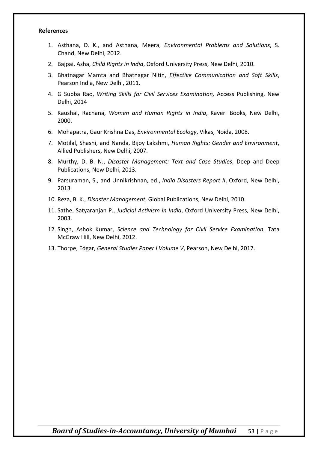#### **References**

- 1. Asthana, D. K., and Asthana, Meera, *Environmental Problems and Solutions*, S. Chand, New Delhi, 2012.
- 2. Bajpai, Asha, *Child Rights in India*, Oxford University Press, New Delhi, 2010.
- 3. Bhatnagar Mamta and Bhatnagar Nitin, *Effective Communication and Soft Skills*, Pearson India, New Delhi, 2011.
- 4. G Subba Rao, *Writing Skills for Civil Services Examination,* Access Publishing, New Delhi, 2014
- 5. Kaushal, Rachana, *Women and Human Rights in India*, Kaveri Books, New Delhi, 2000.
- 6. Mohapatra, Gaur Krishna Das, *Environmental Ecology*, Vikas, Noida, 2008.
- 7. Motilal, Shashi, and Nanda, Bijoy Lakshmi, *Human Rights: Gender and Environment*, Allied Publishers, New Delhi, 2007.
- 8. Murthy, D. B. N., *Disaster Management: Text and Case Studies*, Deep and Deep Publications, New Delhi, 2013.
- 9. Parsuraman, S., and Unnikrishnan, ed., *India Disasters Report II*, Oxford, New Delhi, 2013
- 10. Reza, B. K., *Disaster Management*, Global Publications, New Delhi, 2010.
- 11. Sathe, Satyaranjan P., *Judicial Activism in India*, Oxford University Press, New Delhi, 2003.
- 12. Singh, Ashok Kumar, *Science and Technology for Civil Service Examination*, Tata McGraw Hill, New Delhi, 2012.
- 13. Thorpe, Edgar, *General Studies Paper I Volume V*, Pearson, New Delhi, 2017.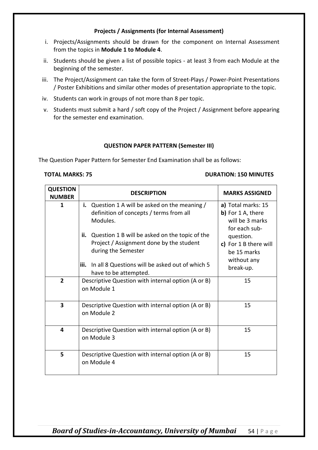#### **Projects / Assignments (for Internal Assessment)**

- i. Projects/Assignments should be drawn for the component on Internal Assessment from the topics in **Module 1 to Module 4**.
- ii. Students should be given a list of possible topics at least 3 from each Module at the beginning of the semester.
- iii. The Project/Assignment can take the form of Street-Plays / Power-Point Presentations / Poster Exhibitions and similar other modes of presentation appropriate to the topic.
- iv. Students can work in groups of not more than 8 per topic.
- v. Students must submit a hard / soft copy of the Project / Assignment before appearing for the semester end examination.

#### **QUESTION PAPER PATTERN (Semester III)**

The Question Paper Pattern for Semester End Examination shall be as follows:

#### **TOTAL MARKS: 75 DURATION: 150 MINUTES**

| <b>QUESTION</b><br><b>NUMBER</b> | <b>DESCRIPTION</b>                                                                                                                                                                                                                                                                                                      | <b>MARKS ASSIGNED</b>                                                                                                                                        |
|----------------------------------|-------------------------------------------------------------------------------------------------------------------------------------------------------------------------------------------------------------------------------------------------------------------------------------------------------------------------|--------------------------------------------------------------------------------------------------------------------------------------------------------------|
| $\mathbf{1}$                     | i. Question 1 A will be asked on the meaning $/$<br>definition of concepts / terms from all<br>Modules.<br>Question 1 B will be asked on the topic of the<br>ii.<br>Project / Assignment done by the student<br>during the Semester<br>In all 8 Questions will be asked out of which 5<br>iii.<br>have to be attempted. | a) Total marks: 15<br>b) For 1 A, there<br>will be 3 marks<br>for each sub-<br>question.<br>c) For 1 B there will<br>be 15 marks<br>without any<br>break-up. |
| $\overline{2}$                   | Descriptive Question with internal option (A or B)<br>on Module 1                                                                                                                                                                                                                                                       | 15                                                                                                                                                           |
| 3                                | Descriptive Question with internal option (A or B)<br>on Module 2                                                                                                                                                                                                                                                       | 15                                                                                                                                                           |
| 4                                | Descriptive Question with internal option (A or B)<br>on Module 3                                                                                                                                                                                                                                                       | 15                                                                                                                                                           |
| 5                                | Descriptive Question with internal option (A or B)<br>on Module 4                                                                                                                                                                                                                                                       | 15                                                                                                                                                           |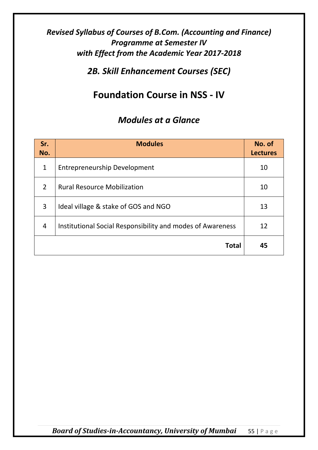*2B. Skill Enhancement Courses (SEC)*

# **Foundation Course in NSS - IV**

| Sr.<br>No.               | <b>Modules</b>                                             | No. of<br><b>Lectures</b> |
|--------------------------|------------------------------------------------------------|---------------------------|
| $\mathbf{1}$             | <b>Entrepreneurship Development</b>                        | 10                        |
| $\overline{\phantom{a}}$ | <b>Rural Resource Mobilization</b>                         | 10                        |
| 3                        | Ideal village & stake of GOS and NGO                       | 13                        |
| $\overline{4}$           | Institutional Social Responsibility and modes of Awareness | 12                        |
|                          | <b>Total</b>                                               | 45                        |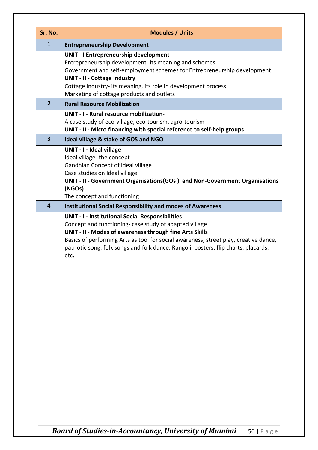| Sr. No.                 | <b>Modules / Units</b>                                                                                                                                                                                                                                                                                                                                              |  |
|-------------------------|---------------------------------------------------------------------------------------------------------------------------------------------------------------------------------------------------------------------------------------------------------------------------------------------------------------------------------------------------------------------|--|
| $\mathbf{1}$            | <b>Entrepreneurship Development</b>                                                                                                                                                                                                                                                                                                                                 |  |
|                         | <b>UNIT - I Entrepreneurship development</b><br>Entrepreneurship development- its meaning and schemes<br>Government and self-employment schemes for Entrepreneurship development<br><b>UNIT - II - Cottage Industry</b><br>Cottage Industry- its meaning, its role in development process<br>Marketing of cottage products and outlets                              |  |
| $\overline{2}$          | <b>Rural Resource Mobilization</b>                                                                                                                                                                                                                                                                                                                                  |  |
|                         | <b>UNIT - I - Rural resource mobilization-</b><br>A case study of eco-village, eco-tourism, agro-tourism<br>UNIT - II - Micro financing with special reference to self-help groups                                                                                                                                                                                  |  |
| $\overline{\mathbf{3}}$ | Ideal village & stake of GOS and NGO                                                                                                                                                                                                                                                                                                                                |  |
|                         | <b>UNIT - I - Ideal village</b><br>Ideal village-the concept<br>Gandhian Concept of Ideal village<br>Case studies on Ideal village<br>UNIT - II - Government Organisations(GOs) and Non-Government Organisations<br>(NGOs)<br>The concept and functioning                                                                                                           |  |
| 4                       | <b>Institutional Social Responsibility and modes of Awareness</b>                                                                                                                                                                                                                                                                                                   |  |
|                         | <b>UNIT - I - Institutional Social Responsibilities</b><br>Concept and functioning- case study of adapted village<br>UNIT - II - Modes of awareness through fine Arts Skills<br>Basics of performing Arts as tool for social awareness, street play, creative dance,<br>patriotic song, folk songs and folk dance. Rangoli, posters, flip charts, placards,<br>etc. |  |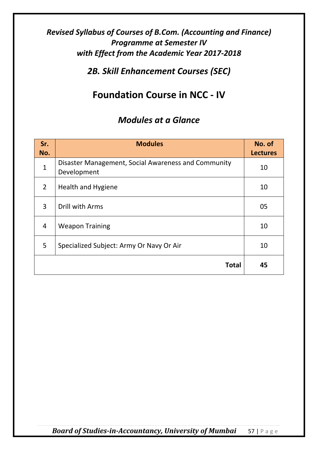*2B. Skill Enhancement Courses (SEC)*

# **Foundation Course in NCC - IV**

# *Modules at a Glance*

| Sr.<br>No.     | <b>Modules</b>                                                     | No. of<br><b>Lectures</b> |
|----------------|--------------------------------------------------------------------|---------------------------|
| $\mathbf{1}$   | Disaster Management, Social Awareness and Community<br>Development | 10                        |
| $\overline{2}$ | <b>Health and Hygiene</b>                                          | 10                        |
| 3              | Drill with Arms                                                    | 05                        |
| $\overline{4}$ | <b>Weapon Training</b>                                             | 10                        |
| 5              | Specialized Subject: Army Or Navy Or Air                           | 10                        |
|                | <b>Total</b>                                                       | 45                        |

*Board of Studies-in-Accountancy, University of Mumbai* 57 | Page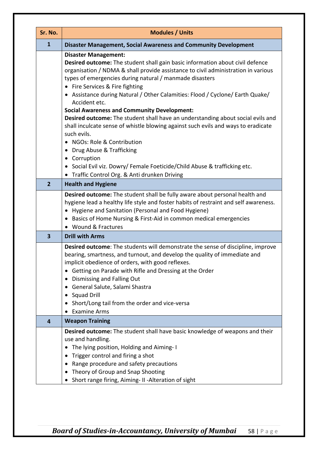| Sr. No.        | <b>Modules / Units</b>                                                                                                                                                                                                                                                                                                                                                                                                                                                                                                                                                                                                                                                                                  |  |  |
|----------------|---------------------------------------------------------------------------------------------------------------------------------------------------------------------------------------------------------------------------------------------------------------------------------------------------------------------------------------------------------------------------------------------------------------------------------------------------------------------------------------------------------------------------------------------------------------------------------------------------------------------------------------------------------------------------------------------------------|--|--|
| $\mathbf{1}$   | Disaster Management, Social Awareness and Community Development                                                                                                                                                                                                                                                                                                                                                                                                                                                                                                                                                                                                                                         |  |  |
|                | <b>Disaster Management:</b><br>Desired outcome: The student shall gain basic information about civil defence<br>organisation / NDMA & shall provide assistance to civil administration in various<br>types of emergencies during natural / manmade disasters<br>• Fire Services & Fire fighting<br>• Assistance during Natural / Other Calamities: Flood / Cyclone/ Earth Quake/<br>Accident etc.<br><b>Social Awareness and Community Development:</b><br>Desired outcome: The student shall have an understanding about social evils and<br>shall inculcate sense of whistle blowing against such evils and ways to eradicate<br>such evils.<br>NGOs: Role & Contribution<br>Drug Abuse & Trafficking |  |  |
|                | • Corruption<br>• Social Evil viz. Dowry/ Female Foeticide/Child Abuse & trafficking etc.<br>Traffic Control Org. & Anti drunken Driving<br>$\bullet$                                                                                                                                                                                                                                                                                                                                                                                                                                                                                                                                                   |  |  |
| $\overline{2}$ | <b>Health and Hygiene</b>                                                                                                                                                                                                                                                                                                                                                                                                                                                                                                                                                                                                                                                                               |  |  |
|                | Desired outcome: The student shall be fully aware about personal health and<br>hygiene lead a healthy life style and foster habits of restraint and self awareness.<br>Hygiene and Sanitation (Personal and Food Hygiene)<br>$\bullet$<br>Basics of Home Nursing & First-Aid in common medical emergencies<br>$\bullet$<br>• Wound & Fractures                                                                                                                                                                                                                                                                                                                                                          |  |  |
| 3              | <b>Drill with Arms</b>                                                                                                                                                                                                                                                                                                                                                                                                                                                                                                                                                                                                                                                                                  |  |  |
|                | Desired outcome: The students will demonstrate the sense of discipline, improve<br>bearing, smartness, and turnout, and develop the quality of immediate and<br>implicit obedience of orders, with good reflexes.<br>Getting on Parade with Rifle and Dressing at the Order<br>Dismissing and Falling Out<br>General Salute, Salami Shastra<br><b>Squad Drill</b><br>Short/Long tail from the order and vice-versa<br><b>Examine Arms</b>                                                                                                                                                                                                                                                               |  |  |
| 4              | <b>Weapon Training</b>                                                                                                                                                                                                                                                                                                                                                                                                                                                                                                                                                                                                                                                                                  |  |  |
|                | Desired outcome: The student shall have basic knowledge of weapons and their<br>use and handling.<br>The lying position, Holding and Aiming-I<br>Trigger control and firing a shot<br>Range procedure and safety precautions<br>Theory of Group and Snap Shooting<br>Short range firing, Aiming- II - Alteration of sight<br>$\bullet$                                                                                                                                                                                                                                                                                                                                                                  |  |  |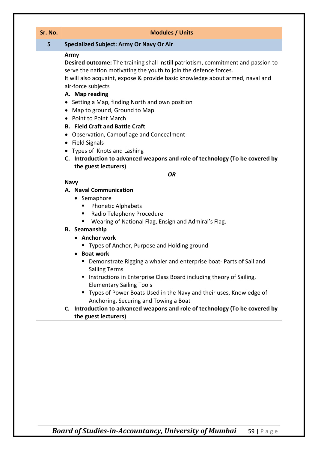| Sr. No. | <b>Modules / Units</b>                                                                                                                                                                                                                                                                                                                                                                                                                                                                                                                                                                                                                                                               |  |  |
|---------|--------------------------------------------------------------------------------------------------------------------------------------------------------------------------------------------------------------------------------------------------------------------------------------------------------------------------------------------------------------------------------------------------------------------------------------------------------------------------------------------------------------------------------------------------------------------------------------------------------------------------------------------------------------------------------------|--|--|
| 5       | <b>Specialized Subject: Army Or Navy Or Air</b>                                                                                                                                                                                                                                                                                                                                                                                                                                                                                                                                                                                                                                      |  |  |
|         | Army<br>Desired outcome: The training shall instill patriotism, commitment and passion to<br>serve the nation motivating the youth to join the defence forces.<br>It will also acquaint, expose & provide basic knowledge about armed, naval and<br>air-force subjects<br>A. Map reading<br>• Setting a Map, finding North and own position<br>Map to ground, Ground to Map<br>$\bullet$<br>Point to Point March<br>$\bullet$<br><b>B. Field Craft and Battle Craft</b><br>Observation, Camouflage and Concealment<br>$\bullet$<br><b>Field Signals</b><br>$\bullet$<br>• Types of Knots and Lashing<br>C. Introduction to advanced weapons and role of technology (To be covered by |  |  |
|         | the guest lecturers)                                                                                                                                                                                                                                                                                                                                                                                                                                                                                                                                                                                                                                                                 |  |  |
|         | <b>OR</b><br><b>Navy</b>                                                                                                                                                                                                                                                                                                                                                                                                                                                                                                                                                                                                                                                             |  |  |
|         | A. Naval Communication<br>• Semaphore<br><b>Phonetic Alphabets</b><br>Radio Telephony Procedure<br>п<br>Wearing of National Flag, Ensign and Admiral's Flag.                                                                                                                                                                                                                                                                                                                                                                                                                                                                                                                         |  |  |
|         | <b>B.</b> Seamanship<br>• Anchor work<br>■ Types of Anchor, Purpose and Holding ground<br><b>Boat work</b>                                                                                                                                                                                                                                                                                                                                                                                                                                                                                                                                                                           |  |  |
|         | " Demonstrate Rigging a whaler and enterprise boat- Parts of Sail and<br><b>Sailing Terms</b><br>Instructions in Enterprise Class Board including theory of Sailing,<br><b>Elementary Sailing Tools</b><br>" Types of Power Boats Used in the Navy and their uses, Knowledge of<br>Anchoring, Securing and Towing a Boat                                                                                                                                                                                                                                                                                                                                                             |  |  |
|         | C. Introduction to advanced weapons and role of technology (To be covered by<br>the guest lecturers)                                                                                                                                                                                                                                                                                                                                                                                                                                                                                                                                                                                 |  |  |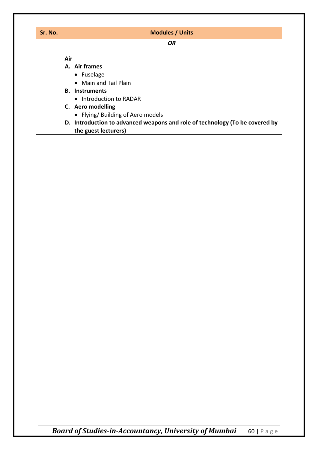| Sr. No. | <b>Modules / Units</b>                                                                               |
|---------|------------------------------------------------------------------------------------------------------|
|         | <b>OR</b>                                                                                            |
|         | Air                                                                                                  |
|         | A. Air frames                                                                                        |
|         | • Fuselage                                                                                           |
|         | • Main and Tail Plain                                                                                |
|         | <b>B.</b> Instruments                                                                                |
|         | • Introduction to RADAR                                                                              |
|         | C. Aero modelling                                                                                    |
|         | • Flying/ Building of Aero models                                                                    |
|         | D. Introduction to advanced weapons and role of technology (To be covered by<br>the guest lecturers) |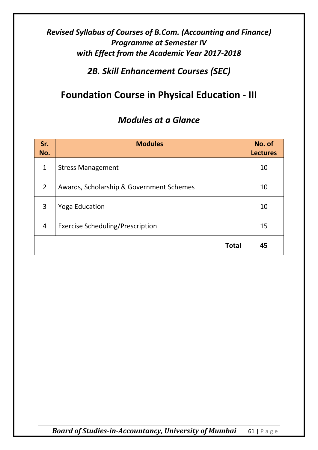*2B. Skill Enhancement Courses (SEC)*

# **Foundation Course in Physical Education - III**

# *Modules at a Glance*

| Sr.<br>No.     | <b>Modules</b>                           | No. of<br><b>Lectures</b> |
|----------------|------------------------------------------|---------------------------|
| $\mathbf{1}$   | <b>Stress Management</b>                 | 10                        |
| $\overline{2}$ | Awards, Scholarship & Government Schemes | 10                        |
| 3              | <b>Yoga Education</b>                    | 10                        |
| 4              | <b>Exercise Scheduling/Prescription</b>  | 15                        |
|                | <b>Total</b>                             | 45                        |

*Board of Studies-in-Accountancy, University of Mumbai* 61 | Page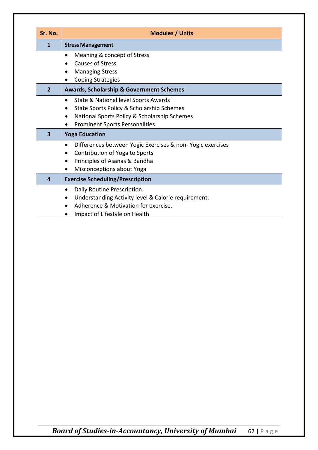| Sr. No.        | <b>Modules / Units</b>                                                                                                                                                                                            |
|----------------|-------------------------------------------------------------------------------------------------------------------------------------------------------------------------------------------------------------------|
| 1              | <b>Stress Management</b>                                                                                                                                                                                          |
|                | Meaning & concept of Stress<br>٠<br><b>Causes of Stress</b><br>$\bullet$<br><b>Managing Stress</b><br>٠<br><b>Coping Strategies</b>                                                                               |
| $\overline{2}$ | <b>Awards, Scholarship &amp; Government Schemes</b>                                                                                                                                                               |
|                | State & National level Sports Awards<br>$\bullet$<br>State Sports Policy & Scholarship Schemes<br>$\bullet$<br>National Sports Policy & Scholarship Schemes<br>$\bullet$<br><b>Prominent Sports Personalities</b> |
| 3              | <b>Yoga Education</b>                                                                                                                                                                                             |
|                | Differences between Yogic Exercises & non-Yogic exercises<br>٠<br>Contribution of Yoga to Sports<br>٠<br>Principles of Asanas & Bandha<br>٠<br>Misconceptions about Yoga                                          |
| 4              | <b>Exercise Scheduling/Prescription</b>                                                                                                                                                                           |
|                | Daily Routine Prescription.<br>٠<br>Understanding Activity level & Calorie requirement.<br>٠<br>Adherence & Motivation for exercise.<br>Impact of Lifestyle on Health                                             |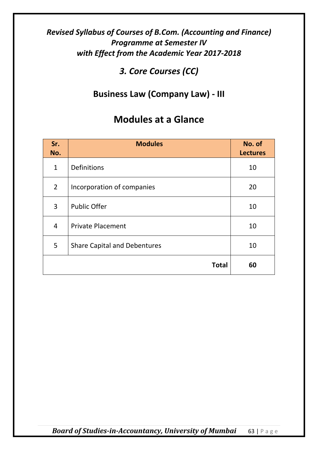*3. Core Courses (CC)*

# **Business Law (Company Law) - III**

| Sr.<br>No.     | <b>Modules</b>                      | No. of<br><b>Lectures</b> |
|----------------|-------------------------------------|---------------------------|
| $\mathbf{1}$   | <b>Definitions</b>                  | 10                        |
| $\overline{2}$ | Incorporation of companies          | 20                        |
| 3              | <b>Public Offer</b>                 | 10                        |
| 4              | <b>Private Placement</b>            | 10                        |
| 5              | <b>Share Capital and Debentures</b> | 10                        |
|                | <b>Total</b>                        | 60                        |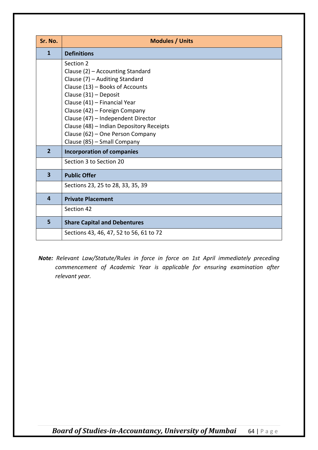| Sr. No.        | <b>Modules / Units</b>                                                                                                                                                                                                                                                                                                                                            |
|----------------|-------------------------------------------------------------------------------------------------------------------------------------------------------------------------------------------------------------------------------------------------------------------------------------------------------------------------------------------------------------------|
| 1              | <b>Definitions</b>                                                                                                                                                                                                                                                                                                                                                |
|                | Section 2<br>Clause (2) - Accounting Standard<br>Clause (7) - Auditing Standard<br>Clause (13) - Books of Accounts<br>Clause (31) - Deposit<br>Clause (41) - Financial Year<br>Clause (42) - Foreign Company<br>Clause (47) - Independent Director<br>Clause (48) - Indian Depository Receipts<br>Clause (62) - One Person Company<br>Clause (85) - Small Company |
| $\overline{2}$ | <b>Incorporation of companies</b>                                                                                                                                                                                                                                                                                                                                 |
|                | Section 3 to Section 20                                                                                                                                                                                                                                                                                                                                           |
| 3              | <b>Public Offer</b>                                                                                                                                                                                                                                                                                                                                               |
|                | Sections 23, 25 to 28, 33, 35, 39                                                                                                                                                                                                                                                                                                                                 |
| 4              | <b>Private Placement</b>                                                                                                                                                                                                                                                                                                                                          |
|                | Section 42                                                                                                                                                                                                                                                                                                                                                        |
| 5              | <b>Share Capital and Debentures</b>                                                                                                                                                                                                                                                                                                                               |
|                | Sections 43, 46, 47, 52 to 56, 61 to 72                                                                                                                                                                                                                                                                                                                           |

*Note: Relevant Law/Statute/Rules in force in force on 1st April immediately preceding commencement of Academic Year is applicable for ensuring examination after relevant year.*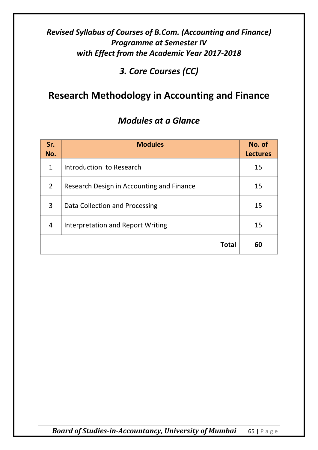*3. Core Courses (CC)*

# **Research Methodology in Accounting and Finance**

### *Modules at a Glance*

| Sr.<br>No.     | <b>Modules</b>                            | No. of<br><b>Lectures</b> |
|----------------|-------------------------------------------|---------------------------|
| $\mathbf{1}$   | Introduction to Research                  | 15                        |
| 2              | Research Design in Accounting and Finance | 15                        |
| 3              | Data Collection and Processing            | 15                        |
| $\overline{4}$ | Interpretation and Report Writing         | 15                        |
|                | <b>Total</b>                              | 60                        |

*Board of Studies-in-Accountancy, University of Mumbai* 65 | Page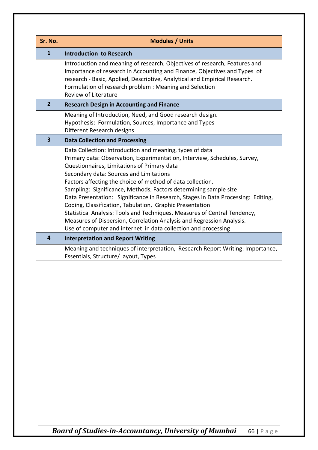| Sr. No.                 | <b>Modules / Units</b>                                                                                                                                                                                                                                                                                                                                                                                                                                                                                                                                                                                                                                                                                                                    |  |
|-------------------------|-------------------------------------------------------------------------------------------------------------------------------------------------------------------------------------------------------------------------------------------------------------------------------------------------------------------------------------------------------------------------------------------------------------------------------------------------------------------------------------------------------------------------------------------------------------------------------------------------------------------------------------------------------------------------------------------------------------------------------------------|--|
| $\mathbf{1}$            | <b>Introduction to Research</b>                                                                                                                                                                                                                                                                                                                                                                                                                                                                                                                                                                                                                                                                                                           |  |
|                         | Introduction and meaning of research, Objectives of research, Features and<br>Importance of research in Accounting and Finance, Objectives and Types of<br>research - Basic, Applied, Descriptive, Analytical and Empirical Research.<br>Formulation of research problem : Meaning and Selection<br>Review of Literature                                                                                                                                                                                                                                                                                                                                                                                                                  |  |
| $\overline{2}$          | <b>Research Design in Accounting and Finance</b>                                                                                                                                                                                                                                                                                                                                                                                                                                                                                                                                                                                                                                                                                          |  |
|                         | Meaning of Introduction, Need, and Good research design.<br>Hypothesis: Formulation, Sources, Importance and Types<br>Different Research designs                                                                                                                                                                                                                                                                                                                                                                                                                                                                                                                                                                                          |  |
| $\overline{\mathbf{3}}$ | <b>Data Collection and Processing</b>                                                                                                                                                                                                                                                                                                                                                                                                                                                                                                                                                                                                                                                                                                     |  |
|                         | Data Collection: Introduction and meaning, types of data<br>Primary data: Observation, Experimentation, Interview, Schedules, Survey,<br>Questionnaires, Limitations of Primary data<br>Secondary data: Sources and Limitations<br>Factors affecting the choice of method of data collection.<br>Sampling: Significance, Methods, Factors determining sample size<br>Data Presentation: Significance in Research, Stages in Data Processing: Editing,<br>Coding, Classification, Tabulation, Graphic Presentation<br>Statistical Analysis: Tools and Techniques, Measures of Central Tendency,<br>Measures of Dispersion, Correlation Analysis and Regression Analysis.<br>Use of computer and internet in data collection and processing |  |
| 4                       | <b>Interpretation and Report Writing</b>                                                                                                                                                                                                                                                                                                                                                                                                                                                                                                                                                                                                                                                                                                  |  |
|                         | Meaning and techniques of interpretation, Research Report Writing: Importance,<br>Essentials, Structure/ layout, Types                                                                                                                                                                                                                                                                                                                                                                                                                                                                                                                                                                                                                    |  |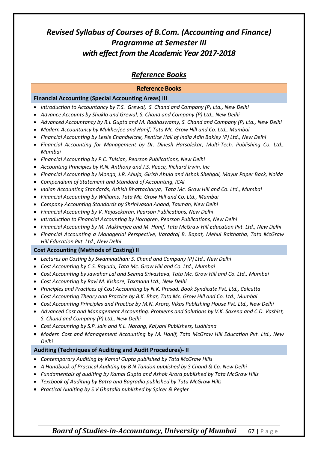### *Reference Books*

|                                                                                                            | <b>Reference Books</b>                                                                                                                                                                                                                                                                                                                                                                                                                                                                                                                                                                                                                                                                                                                                                                                                                                                                                                                                                                                                                                                                                                                                                                                                                                                                                                                                                                                                                                                                                                                                                 |
|------------------------------------------------------------------------------------------------------------|------------------------------------------------------------------------------------------------------------------------------------------------------------------------------------------------------------------------------------------------------------------------------------------------------------------------------------------------------------------------------------------------------------------------------------------------------------------------------------------------------------------------------------------------------------------------------------------------------------------------------------------------------------------------------------------------------------------------------------------------------------------------------------------------------------------------------------------------------------------------------------------------------------------------------------------------------------------------------------------------------------------------------------------------------------------------------------------------------------------------------------------------------------------------------------------------------------------------------------------------------------------------------------------------------------------------------------------------------------------------------------------------------------------------------------------------------------------------------------------------------------------------------------------------------------------------|
|                                                                                                            | <b>Financial Accounting (Special Accounting Areas) III</b>                                                                                                                                                                                                                                                                                                                                                                                                                                                                                                                                                                                                                                                                                                                                                                                                                                                                                                                                                                                                                                                                                                                                                                                                                                                                                                                                                                                                                                                                                                             |
| ٠<br>$\bullet$<br>$\bullet$<br>$\bullet$<br>٠<br>٠<br>٠<br>٠<br>٠<br>$\bullet$<br>٠<br>٠<br>٠<br>$\bullet$ | Introduction to Accountancy by T.S. Grewal, S. Chand and Company (P) Ltd., New Delhi<br>Advance Accounts by Shukla and Grewal, S. Chand and Company (P) Ltd., New Delhi<br>Advanced Accountancy by R.L Gupta and M. Radhaswamy, S. Chand and Company (P) Ltd., New Delhi<br>Modern Accountancy by Mukherjee and Hanif, Tata Mc. Grow Hill and Co. Ltd., Mumbai<br>Financial Accounting by Lesile Chandwichk, Pentice Hall of India Adin Bakley (P) Ltd., New Delhi<br>Financial Accounting for Management by Dr. Dinesh Harsalekar, Multi-Tech. Publishing Co. Ltd.,<br>Mumbai<br>Financial Accounting by P.C. Tulsian, Pearson Publications, New Delhi<br>Accounting Principles by R.N. Anthony and J.S. Reece, Richard Irwin, Inc<br>Financial Accounting by Monga, J.R. Ahuja, Girish Ahuja and Ashok Shehgal, Mayur Paper Back, Noida<br>Compendium of Statement and Standard of Accounting, ICAI<br>Indian Accounting Standards, Ashish Bhattacharya, Tata Mc. Grow Hill and Co. Ltd., Mumbai<br>Financial Accounting by Williams, Tata Mc. Grow Hill and Co. Ltd., Mumbai<br>Company Accounting Standards by Shrinivasan Anand, Taxman, New Delhi<br>Financial Accounting by V. Rajasekaran, Pearson Publications, New Delhi<br>Introduction to Financial Accounting by Horngren, Pearson Publications, New Delhi<br>Financial Accounting by M. Mukherjee and M. Hanif, Tata McGraw Hill Education Pvt. Ltd., New Delhi<br>Financial Accounting a Managerial Perspective, Varadraj B. Bapat, Mehul Raithatha, Tata McGraw<br>Hill Education Pvt. Ltd., New Delhi |
|                                                                                                            | <b>Cost Accounting (Methods of Costing) II</b>                                                                                                                                                                                                                                                                                                                                                                                                                                                                                                                                                                                                                                                                                                                                                                                                                                                                                                                                                                                                                                                                                                                                                                                                                                                                                                                                                                                                                                                                                                                         |
| ٠<br>٠<br>$\bullet$<br>٠<br>٠<br>$\bullet$<br>٠<br>$\bullet$                                               | Lectures on Costing by Swaminathan: S. Chand and Company (P) Ltd., New Delhi<br>Cost Accounting by C.S. Rayudu, Tata Mc. Grow Hill and Co. Ltd., Mumbai<br>Cost Accounting by Jawahar Lal and Seema Srivastava, Tata Mc. Grow Hill and Co. Ltd., Mumbai<br>Cost Accounting by Ravi M. Kishore, Taxmann Ltd., New Delhi<br>Principles and Practices of Cost Accounting by N.K. Prasad, Book Syndicate Pvt. Ltd., Calcutta<br>Cost Accounting Theory and Practice by B.K. Bhar, Tata Mc. Grow Hill and Co. Ltd., Mumbai<br>Cost Accounting Principles and Practice by M.N. Arora, Vikas Publishing House Pvt. Ltd., New Delhi<br>Advanced Cost and Management Accounting: Problems and Solutions by V.K. Saxena and C.D. Vashist,<br>S. Chand and Company (P) Ltd., New Delhi<br>Cost Accounting by S.P. Jain and K.L. Narang, Kalyani Publishers, Ludhiana<br>Modern Cost and Management Accounting by M. Hanif, Tata McGraw Hill Education Pvt. Ltd., New<br>Delhi                                                                                                                                                                                                                                                                                                                                                                                                                                                                                                                                                                                                     |
| Auditing (Techniques of Auditing and Audit Procedures)- II                                                 |                                                                                                                                                                                                                                                                                                                                                                                                                                                                                                                                                                                                                                                                                                                                                                                                                                                                                                                                                                                                                                                                                                                                                                                                                                                                                                                                                                                                                                                                                                                                                                        |
|                                                                                                            | Contemporary Auditing by Kamal Gupta published by Tata McGraw Hills<br>A Handbook of Practical Auditing by B N Tandon published by S Chand & Co. New Delhi<br>Fundamentals of auditing by Kamal Gupta and Ashok Arora published by Tata McGraw Hills<br>Textbook of Auditing by Batra and Bagradia published by Tata McGraw Hills<br>Practical Auditing by S V Ghatalia published by Spicer & Pegler                                                                                                                                                                                                                                                                                                                                                                                                                                                                                                                                                                                                                                                                                                                                                                                                                                                                                                                                                                                                                                                                                                                                                                   |

*Board of Studies-in-Accountancy, University of Mumbai* 67 | Page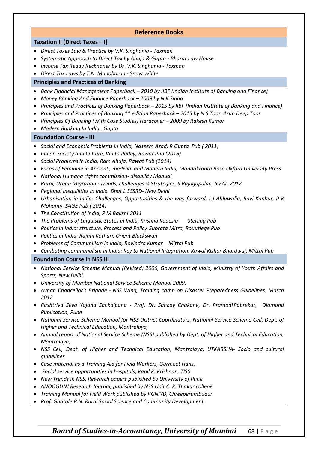#### **Reference Books**

**Taxation II (Direct Taxes – I)**

- *Direct Taxes Law & Practice by V.K. Singhania - Taxman*
- *Systematic Approach to Direct Tax by Ahuja & Gupta - Bharat Law House*
- *Income Tax Ready Recknoner by Dr .V.K. Singhania - Taxman*
- *Direct Tax Laws by T.N. Manoharan - Snow White*

#### **Principles and Practices of Banking**

- *Bank Financial Management Paperback – 2010 by IIBF (Indian Institute of Banking and Finance)*
- *Money Banking And Finance Paperback – 2009 by N K Sinha*
- *Principles and Practices of Banking Paperback – 2015 by IIBF (Indian Institute of Banking and Finance)*
- *Principles and Practices of Banking 11 edition Paperback – 2015 by N S Toor, Arun Deep Toor*
- *Principles Of Banking (With Case Studies) Hardcover – 2009 by Rakesh Kumar*
- *Modern Banking In India , Gupta*

#### **Foundation Course - III**

- *Social and Economic Problems in India, Naseem Azad, R Gupta Pub ( 2011)*
- *Indian Society and Culture, Vinita Padey, Rawat Pub (2016)*
- *Social Problems in India, Ram Ahuja, Rawat Pub (2014)*
- *Faces of Feminine in Ancient , medivial and Modern India, Mandakranta Bose Oxford University Press*
- *National Humana rights commission- disability Manual*
- *Rural, Urban Migration : Trends, challenges & Strategies, S Rajagopalan, ICFAI- 2012*
- *Regional Inequilities in India Bhat L SSSRD- New Delhi*
- *Urbanisation in India: Challenges, Opportunities & the way forward, I J Ahluwalia, Ravi Kanbur, P K Mohanty, SAGE Pub ( 2014)*
- *The Constitution of India, P M Bakshi 2011*
- *The Problems of Linguistic States in India, Krishna Kodesia Sterling Pub*
- *Politics in India: structure, Process and Policy Subrata Mitra, Rouutlege Pub*
- *Politics in India, Rajani Kothari, Orient Blackswan*
- *Problems of Communilism in india, Ravindra Kumar Mittal Pub*
- *Combating communalism in India: Key to National Integration, Kawal Kishor Bhardwaj, Mittal Pub*

#### **Foundation Course in NSS III**

- *National Service Scheme Manual (Revised) 2006, Government of India, Ministry of Youth Affairs and Sports, New Delhi.*
- *University of Mumbai National Service Scheme Manual 2009.*
- *Avhan Chancellor's Brigade - NSS Wing, Training camp on Disaster Preparedness Guidelines, March 2012*
- *Rashtriya Seva Yojana Sankalpana - Prof. Dr. Sankay Chakane, Dr. Pramod\Pabrekar, Diamond Publication, Pune*
- *National Service Scheme Manual for NSS District Coordinators, National Service Scheme Cell, Dept. of Higher and Technical Education, Mantralaya,*
- *Annual report of National Service Scheme (NSS) published by Dept. of Higher and Technical Education, Mantralaya,*
- *NSS Cell, Dept. of Higher and Technical Education, Mantralaya, UTKARSHA- Socio and cultural guidelines*
- *Case material as a Training Aid for Field Workers, Gurmeet Hans.*
- *Social service opportunities in hospitals, Kapil K. Krishnan, TISS*
- *New Trends in NSS, Research papers published by University of Pune*
- *ANOOGUNJ Research Journal, published by NSS Unit C. K. Thakur college*
- *Training Manual for Field Work published by RGNIYD, Chreeperumbudur*
- *Prof. Ghatole R.N. Rural Social Science and Community Development.*

### *Board of Studies-in-Accountancy, University of Mumbai* 68 | Page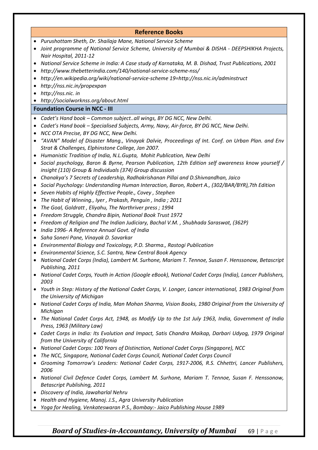|           | <b>Reference Books</b>                                                                                                    |
|-----------|---------------------------------------------------------------------------------------------------------------------------|
|           | Purushottam Sheth, Dr. Shailaja Mane, National Service Scheme                                                             |
|           | Joint programme of National Service Scheme, University of Mumbai & DISHA - DEEPSHIKHA Projects,<br>Nair Hospital, 2011-12 |
| $\bullet$ | National Service Scheme in India: A Case study of Karnataka, M. B. Dishad, Trust Publications, 2001                       |
| $\bullet$ | http://www.thebetterindia.com/140/national-service-scheme-nss/                                                            |
| ٠         | http://en.wikipedia.org/wiki/national-service-scheme 19=http://nss.nic.in/adminstruct                                     |
| $\bullet$ | http://nss.nic.in/propexpan                                                                                               |
| $\bullet$ | http://nss.nic.in                                                                                                         |
|           | http://socialworknss.org/about.html                                                                                       |
|           | <b>Foundation Course in NCC - III</b>                                                                                     |
|           | Cadet's Hand book - Common subjectall wings, BY DG NCC, New Delhi.                                                        |
|           | Cadet's Hand book - Specialised Subjects, Army, Navy, Air-force, BY DG NCC, New Delhi.                                    |
| ٠         | NCC OTA Precise, BY DG NCC, New Delhi.                                                                                    |
| $\bullet$ | "AVAN" Model of Disaster Mang., Vinayak Dalvie, Proceedings of Int. Conf. on Urban Plan. and Env                          |
|           | Strat & Challenges, Elphinstone College, Jan 2007.                                                                        |
| $\bullet$ | Humanistic Tradition of India, N.L.Gupta, Mohit Publication, New Delhi                                                    |
| $\bullet$ | Social psychology, Baron & Byrne, Pearson Publication, 12th Edition self awareness know yourself /                        |
|           | insight (110) Group & Individuals (374) Group discussion                                                                  |
| ٠         | Chanakya's 7 Secrets of Leadership, Radhakrishanan Pillai and D.Shivnandhan, Jaico                                        |
| $\bullet$ | Social Psychology: Understanding Human Interaction, Baron, Robert A., (302/BAR/BYR), 7th Edition                          |
| $\bullet$ | Seven Habits of Highly Effective People., Covey, Stephen                                                                  |
| ٠         | The Habit of Winning., Iyer, Prakash, Penguin, India; 2011                                                                |
| $\bullet$ | The Goal, Goldratt, Eliyahu, The Northriver press; 1994                                                                   |
| $\bullet$ | Freedom Struggle, Chandra Bipin, National Book Trust 1972                                                                 |
| ٠         | Freedom of Religion and The Indian Judiciary, Bachal V.M., Shubhada Saraswat, (362P)                                      |
| ٠         | India 1996- A Reference Annual Govt. of India                                                                             |
| ٠         | Saha Soneri Pane, Vinayak D. Savarkar                                                                                     |
| ٠         | Environmental Biology and Toxicology, P.D. Sharma., Rastogi Publication                                                   |
| $\bullet$ | Environmental Science, S.C. Santra, New Central Book Agency                                                               |
|           | National Cadet Corps (India), Lambert M. Surhone, Mariam T. Tennoe, Susan F. Henssonow, Betascript                        |
|           | Publishing, 2011                                                                                                          |
|           | National Cadet Corps, Youth in Action (Google eBook), National Cadet Corps (India), Lancer Publishers,                    |
|           | 2003                                                                                                                      |
|           | Youth in Step: History of the National Cadet Corps, V. Longer, Lancer international, 1983 Original from                   |
|           | the University of Michigan                                                                                                |
|           | National Cadet Corps of India, Man Mohan Sharma, Vision Books, 1980 Original from the University of                       |
|           | Michigan                                                                                                                  |
|           | The National Cadet Corps Act, 1948, as Modify Up to the 1st July 1963, India, Government of India                         |
|           | Press, 1963 (Military Law)                                                                                                |
|           | Cadet Corps in India: Its Evolution and Impact, Satis Chandra Maikap, Darbari Udyog, 1979 Original                        |
|           | from the University of California                                                                                         |
|           | National Cadet Corps: 100 Years of Distinction, National Cadet Corps (Singapore), NCC                                     |
|           | The NCC, Singapore, National Cadet Corps Council, National Cadet Corps Council                                            |
|           | Grooming Tomorrow's Leaders: National Cadet Corps, 1917-2006, R.S. Chhettri, Lancer Publishers,<br>2006                   |
| $\bullet$ | National Civil Defence Cadet Corps, Lambert M. Surhone, Mariam T. Tennoe, Susan F. Henssonow,                             |
|           | <b>Betascript Publishing, 2011</b>                                                                                        |
|           | Discovery of India, Jawaharlal Nehru                                                                                      |
|           | Health and Hygiene, Manoj. J.S., Agra University Publication                                                              |
|           | Yoga for Healing, Venkateswaran P.S., Bombay:- Jaico Publishing House 1989                                                |
|           |                                                                                                                           |

# *Board of Studies-in-Accountancy, University of Mumbai* **69 | Page**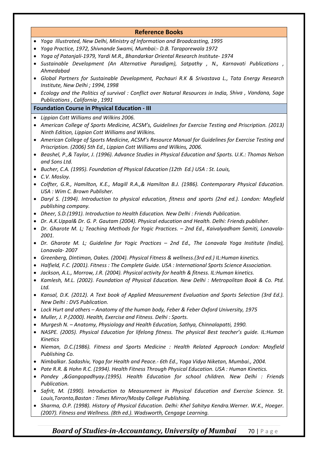#### **Reference Books**

- *Yoga Illustrated, New Delhi, Ministry of Information and Broadcasting, 1995*
- *Yoga Practice, 1972, Shivnande Swami, Mumbai:- D.B. Taraporewala 1972*
- *Yoga of Patanjali-1979, Yardi M.R., Bhandarkar Oriental Research Institute- 1974*
- *Sustainable Development (An Alternative Paradigm), Satpathy , N., Karnavati Publications , Ahmedabad*
- *Global Partners for Sustainable Development, Pachauri R.K & Srivastava L., Tata Energy Research Institute, New Delhi ; 1994, 1998*
- *Ecology and the Politics of survival : Conflict over Natural Resources in India, Shiva , Vandana, Sage Publications , California , 1991*

#### **Foundation Course in Physical Education - III**

- *Lippian Cott Williams and Wilkins 2006.*
- *American College of Sports Medicine, ACSM's, Guidelines for Exercise Testing and Priscription. (2013) Ninth Edition, Lippian Cott Williams and Wilkins.*
- *American College of Sports Medicine, ACSM's Resource Manual for Guidelines for Exercise Testing and Priscription. (2006) 5th Ed., Lippian Cott Williams and Wilkins, 2006.*
- *Beashel, P.,& Taylor, J. (1996). Advance Studies in Physical Education and Sports. U.K.: Thomas Nelson and Sons Ltd.*
- *Bucher, C.A. (1995). Foundation of Physical Education (12th Ed.) USA : St. Louis,*
- *C.V. Mosloy.*
- *Colfter, G.R., Hamilton, K.E., Magill R.A.,& Hamilton B.J. (1986). Contemporary Physical Education. USA : Wim C. Brown Publisher.*
- *Daryl S. (1994). Introduction to physical education, fitness and sports (2nd ed.). London: Mayfield publishing company.*
- *Dheer, S.D.(1991). Introduction to Health Education. New Delhi : Friends Publication.*
- *Dr. A.K.Uppal& Dr. G. P. Gautam (2004). Physical education and Health. Delhi: Friends publisher.*
- *Dr. Gharote M. L; Teaching Methods for Yogic Practices. – 2nd Ed., Kaivalyadham Samiti, Lonavala-2001.*
- *Dr. Gharote M. L; Guideline for Yogic Practices – 2nd Ed., The Lonavala Yoga Institute (India), Lonavala- 2007*
- *Greenberg, Dintiman, Oakes. (2004). Physical Fitness & wellness.(3rd ed.) IL:Human kinetics.*
- *Halfield, F.C. (2001). Fitness : The Complete Guide. USA : International Sports Science Association.*
- *Jackson, A.L., Morrow, J.R. (2004). Physical activity for health & fitness. IL:Human kinetics.*
- *Kamlesh, M.L. (2002). Foundation of Physical Education. New Delhi : Metropolitan Book & Co. Ptd. Ltd.*
- *Kansal, D.K. (2012). A Text book of Applied Measurement Evaluation and Sports Selection (3rd Ed.). New Delhi : DVS Publication.*
- *Lock Hurt and others – Anatomy of the human body, Feber & Feber Oxford University, 1975*
- *Muller, J. P.(2000). Health, Exercise and Fitness. Delhi : Sports.*
- *Murgesh N. – Anatomy, Physiology and Health Education, Sathya, Chinnalapatti, 1990.*
- *NASPE. (2005). Physical Education for lifelong fitness. The physical Best teacher's guide. IL:Human Kinetics*
- *Nieman, D.C.(1986). Fitness and Sports Medicine : Health Related Approach London: Mayfield Publishing Co.*
- *Nimbalkar. Sadashiv, Yoga for Health and Peace.- 6th Ed., Yoga Vidya Niketan, Mumbai., 2004.*
- *Pate R.R. & Hohn R.C. (1994). Health Fitness Through Physical Education. USA : Human Kinetics.*
- *Pandey ,&Gangopadhyay.(1995). Health Education for school children. New Delhi : Friends Publication.*
- *Safrit, M. (1990). Introduction to Measurement in Physical Education and Exercise Science. St. Louis,Toronto,Bastan : Times Mirror/Mosby College Publishing.*
- *Sharma, O.P. (1998). History of Physical Education. Delhi: Khel Sahitya Kendra.Werner. W.K., Hoeger. (2007). Fitness and Wellness. (8th ed.). Wadsworth, Cengage Learning.*

### *Board of Studies-in-Accountancy, University of Mumbai* **70 | Page**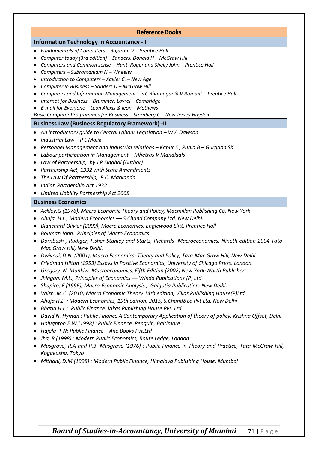#### **Reference Books**

#### **Information Technology in Accountancy - I**

- *Fundamentals of Computers – Rajaram V – Prentice Hall*
- *Computer today (3rd edition) – Sanders, Donald H – McGraw Hill*
- *Computers and Common sense – Hunt, Roger and Shelly John – Prentice Hall*
- *Computers – Subramaniam N – Wheeler*
- *Introduction to Computers – Xavier C. – New Age*
- *Computer in Business – Sanders D – McGraw Hill*
- *Computers and Information Management – S C Bhatnagar & V Ramant – Prentice Hall*
- *Internet for Business – Brummer, Lavrej – Cambridge*
- *E-mail for Everyone – Leon Alexis & leon – Methews*

*Basic Computer Programmes for Business – Sternberg C – New Jersey Hayden*

#### **Business Law (Business Regulatory Framework) -II**

- *An introductory guide to Central Labour Legislation – W A Dawson*
- *Industrial Law – P L Malik*
- *Personnel Management and Industrial relations – Kapur S , Punia B – Gurgaon SK*
- *Labour participation in Management – Mhetras V Manaklals*
- *Law of Partnership, by J P Singhal (Author)*
- *Partnership Act, 1932 with State Amendments*
- *The Law Of Partnership, P.C. Markanda*
- *Indian Partnership Act 1932*
- *Limited Liability Partnership Act 2008*

#### **Business Economics**

- *Ackley.G (1976), Macro Economic Theory and Policy, Macmillan Publishing Co. New York*
- *Ahuja. H.L., Modern Economics –– S.Chand Company Ltd. New Delhi.*
- *Blanchard Olivier (2000), Macro Economics, Englewood Elitt, Prentice Hall*
- *Bouman John, Principles of Macro Economics*
- *Dornbush , Rudiger, Fisher Stanley and Startz, Richards Macroeconomics, Nineth edition 2004 Tata-Mac Graw Hill, New Delhi.*
- *Dwivedi, D.N. (2001), Macro Economics: Theory and Policy, Tata-Mac Graw Hill, New Delhi.*
- *Friedman Hilton (1953) Essays in Positive Economics, University of Chicago Press, London.*
- *Gregory .N. Mankiw, Macroeconomics, Fifth Edition (2002) New York:Worth Publishers*
- *Jhingan, M.L., Principles of Economics –– Vrinda Publications (P) Ltd.*
- *Shapiro, E (1996), Macro-Economic Analysis , Galgotia Publication, New Delhi.*
- *Vaish .M.C. (2010) Macro Economic Theory 14th edition, Vikas Publishing House(P)Ltd*
- *Ahuja H.L. : Modern Economics, 19th edition, 2015, S.Chand&co Pvt Ltd, New Delhi*
- *Bhatia H.L.: Public Finance. Vikas Publishing House Pvt. Ltd.*
- *David N. Hyman : Public Finance A Contemporary Application of theory of policy, Krishna Offset, Delhi*
- *Hoiughton E.W.(1998) : Public Finance, Penguin, Baltimore*
- *Hajela T.N: Public Finance – Ane Books Pvt.Ltd*
- *Jha, R (1998) : Modern Public Economics, Route Ledge, London*
- *Musgrave, R.A and P.B. Musgrave (1976) : Public Finance in Theory and Practice, Tata McGraw Hill, Kogakusha, Tokyo*
- *Mithani, D.M (1998) : Modern Public Finance, Himalaya Publishing House, Mumbai*

### *Board of Studies-in-Accountancy, University of Mumbai* 71 | Page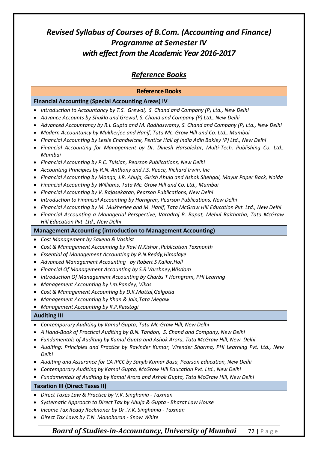### *Reference Books*

### **Reference Books Financial Accounting (Special Accounting Areas) IV** • *Introduction to Accountancy by T.S. Grewal, S. Chand and Company (P) Ltd., New Delhi* • *Advance Accounts by Shukla and Grewal, S. Chand and Company (P) Ltd., New Delhi* • *Advanced Accountancy by R.L Gupta and M. Radhaswamy, S. Chand and Company (P) Ltd., New Delhi* • *Modern Accountancy by Mukherjee and Hanif, Tata Mc. Grow Hill and Co. Ltd., Mumbai* • *Financial Accounting by Lesile Chandwichk, Pentice Hall of India Adin Bakley (P) Ltd., New Delhi* • *Financial Accounting for Management by Dr. Dinesh Harsalekar, Multi-Tech. Publishing Co. Ltd., Mumbai* • *Financial Accounting by P.C. Tulsian, Pearson Publications, New Delhi* • *Accounting Principles by R.N. Anthony and J.S. Reece, Richard Irwin, Inc* • *Financial Accounting by Monga, J.R. Ahuja, Girish Ahuja and Ashok Shehgal, Mayur Paper Back, Noida* • *Financial Accounting by Williams, Tata Mc. Grow Hill and Co. Ltd., Mumbai* • *Financial Accounting by V. Rajasekaran, Pearson Publications, New Delhi* • *Introduction to Financial Accounting by Horngren, Pearson Publications, New Delhi* • *Financial Accounting by M. Mukherjee and M. Hanif, Tata McGraw Hill Education Pvt. Ltd., New Delhi* • *Financial Accounting a Managerial Perspective, Varadraj B. Bapat, Mehul Raithatha, Tata McGraw Hill Education Pvt. Ltd., New Delhi* **Management Accounting (introduction to Management Accounting)** • *Cost Management by Saxena & Vashist* • *Cost & Management Accounting by Ravi N.Kishor ,Publication Taxmonth* • *Essential of Management Accounting by P.N.Reddy,Himalaye* • *Advanced Management Accounting by Robert S Kailar,Holl* • *Financial Of Management Accounting by S.R.Varshney,Wisdom* • *Introduction Of Management Accounting by Charbs T Horngram, PHI Learnng* • *Management Accounting by I.m.Pandey, Vikas* • *Cost & Management Accounting by D.K.Mattal,Galgotia* • *Management Accounting by Khan & Jain,Tata Megaw* • *Management Accounting by R.P.Resstogi* **Auditing III**  • *Contemporary Auditing by Kamal Gupta, Tata Mc-Graw Hill, New Delhi* • *A Hand-Book of Practical Auditing by B.N. Tandon, S. Chand and Company, New Delhi* • *Fundamentals of Auditing by Kamal Gupta and Ashok Arora, Tata McGraw Hill, New Delhi* • *Auditing: Principles and Practice by Ravinder Kumar, Virender Sharma, PHI Learning Pvt. Ltd., New Delhi* • *Auditing and Assurance for CA IPCC by Sanjib Kumar Basu, Pearson Education, New Delhi* • *Contemporary Auditing by Kamal Gupta, McGrow Hill Education Pvt. Ltd., New Delhi* • *Fundamentals of Auditing by Kamal Arora and Ashok Gupta, Tata McGraw Hill, New Delhi* **Taxation III (Direct Taxes II)** • *Direct Taxes Law & Practice by V.K. Singhania - Taxman*

- *Systematic Approach to Direct Tax by Ahuja & Gupta - Bharat Law House*
- *Income Tax Ready Recknoner by Dr .V.K. Singhania - Taxman*
- *Direct Tax Laws by T.N. Manoharan - Snow White*

*Board of Studies-in-Accountancy, University of Mumbai* 72 | Page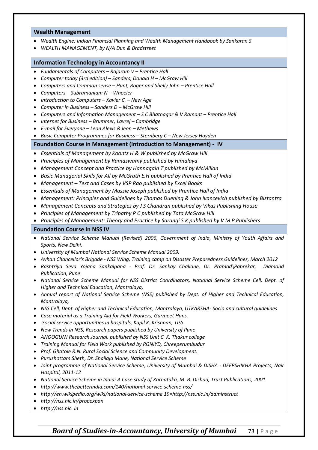#### **Wealth Management**

- *Wealth Engine: Indian Financial Planning and Wealth Management Handbook by Sankaran S*
- *[WEALTH MANAGEMENT, by](http://www.amazon.in/WEALTH-MANAGEMENT-N-Dun-Bradstreet/dp/0070656819/ref=sr_1_2?s=books&ie=UTF8&qid=1494143382&sr=1-2&keywords=wealth+management) N/A Dun & Bradstreet*

### **Information Technology in Accountancy II**

- *Fundamentals of Computers – Rajaram V – Prentice Hall*
- *Computer today (3rd edition) – Sanders, Donald H – McGraw Hill*
- *Computers and Common sense – Hunt, Roger and Shelly John – Prentice Hall*
- *Computers – Subramaniam N – Wheeler*
- *Introduction to Computers – Xavier C. – New Age*
- *Computer in Business – Sanders D – McGraw Hill*
- *Computers and Information Management – S C Bhatnagar & V Ramant – Prentice Hall*
- *Internet for Business – Brummer, Lavrej – Cambridge*
- *E-mail for Everyone – Leon Alexis & leon – Methews*
- *Basic Computer Programmes for Business – Sternberg C – New Jersey Hayden*

#### **Foundation Course in Management (Introduction to Management) - IV**

- *Essentials of Management by Koontz H & W published by McGraw Hill*
- *Principles of Management by Ramaswamy published by Himalaya*
- *Management Concept and Practice by Hannagain T published by McMillan*
- *Basic Managerial Skills for All by McGrath E.H published by Prentice Hall of India*
- *Management – Text and Cases by VSP Rao published by Excel Books*
- *Essentials of Management by Massie Joseph published by Prentice Hall of India*
- *Management: Principles and Guidelines by Thomas Duening & John Ivancevich published by Biztantra*
- *Management Concepts and Strategies by J S Chandran published by Vikas Publishing House*
- *Principles of Management by Tripathy P C published by Tata McGraw Hill*
- *Principles of Management: Theory and Practice by Sarangi S K published by V M P Publishers*

#### **Foundation Course in NSS IV**

- *National Service Scheme Manual (Revised) 2006, Government of India, Ministry of Youth Affairs and Sports, New Delhi.*
- *University of Mumbai National Service Scheme Manual 2009.*
- *Avhan Chancellor's Brigade - NSS Wing, Training camp on Disaster Preparedness Guidelines, March 2012*
- *Rashtriya Seva Yojana Sankalpana - Prof. Dr. Sankay Chakane, Dr. Pramod\Pabrekar, Diamond Publication, Pune*
- *National Service Scheme Manual for NSS District Coordinators, National Service Scheme Cell, Dept. of Higher and Technical Education, Mantralaya,*
- *Annual report of National Service Scheme (NSS) published by Dept. of Higher and Technical Education, Mantralaya,*
- *NSS Cell, Dept. of Higher and Technical Education, Mantralaya, UTKARSHA- Socio and cultural guidelines*
- *Case material as a Training Aid for Field Workers, Gurmeet Hans.*
- *Social service opportunities in hospitals, Kapil K. Krishnan, TISS*
- *New Trends in NSS, Research papers published by University of Pune*
- *ANOOGUNJ Research Journal, published by NSS Unit C. K. Thakur college*
- *Training Manual for Field Work published by RGNIYD, Chreeperumbudur*
- *Prof. Ghatole R.N. Rural Social Science and Community Development.*
- *Purushottam Sheth, Dr. Shailaja Mane, National Service Scheme*
- *Joint programme of National Service Scheme, University of Mumbai & DISHA - DEEPSHIKHA Projects, Nair Hospital, 2011-12*
- *National Service Scheme in India: A Case study of Karnataka, M. B. Dishad, Trust Publications, 2001*
- *http://www.thebetterindia.com/140/national-service-scheme-nss/*
- *http://en.wikipedia.org/wiki/national-service-scheme 19=http://nss.nic.in/adminstruct*
- *http://nss.nic.in/propexpan*
- *http://nss.nic. in*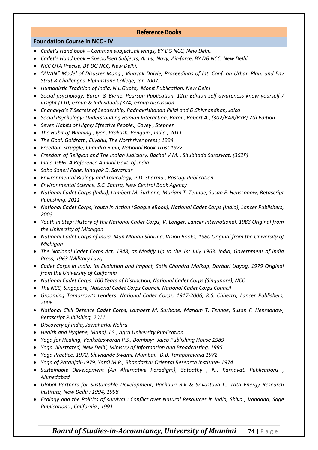### **Reference Books**

### **Foundation Course in NCC - IV**

- *Cadet's Hand book – Common subject..all wings, BY DG NCC, New Delhi.*
- *Cadet's Hand book – Specialised Subjects, Army, Navy, Air-force, BY DG NCC, New Delhi.*
- *NCC OTA Precise, BY DG NCC, New Delhi.*
- *"AVAN" Model of Disaster Mang., Vinayak Dalvie, Proceedings of Int. Conf. on Urban Plan. and Env Strat & Challenges, Elphinstone College, Jan 2007.*
- *Humanistic Tradition of India, N.L.Gupta, Mohit Publication, New Delhi*
- *Social psychology, Baron & Byrne, Pearson Publication, 12th Edition self awareness know yourself / insight (110) Group & Individuals (374) Group discussion*
- *Chanakya's 7 Secrets of Leadership, Radhakrishanan Pillai and D.Shivnandhan, Jaico*
- *Social Psychology: Understanding Human Interaction, Baron, Robert A., (302/BAR/BYR),7th Edition*
- *Seven Habits of Highly Effective People., Covey , Stephen*
- *The Habit of Winning., Iyer , Prakash, Penguin , India ; 2011*
- *The Goal, Goldratt , Eliyahu, The Northriver press ; 1994*
- *Freedom Struggle, Chandra Bipin, National Book Trust 1972*
- *Freedom of Religion and The Indian Judiciary, Bachal V.M. , Shubhada Saraswat, (362P)*
- *India 1996- A Reference Annual Govt. of India*
- *Saha Soneri Pane, Vinayak D. Savarkar*
- *Environmental Biology and Toxicology, P.D. Sharma., Rastogi Publication*
- *Environmental Science, S.C. Santra, New Central Book Agency*
- *National Cadet Corps (India), Lambert M. Surhone, Mariam T. Tennoe, Susan F. Henssonow, Betascript Publishing, 2011*
- *National Cadet Corps, Youth in Action (Google eBook), National Cadet Corps (India), Lancer Publishers, 2003*
- *Youth in Step: History of the National Cadet Corps, V. Longer, Lancer international, 1983 Original from the University of Michigan*
- *National Cadet Corps of India, Man Mohan Sharma, Vision Books, 1980 Original from the University of Michigan*
- *The National Cadet Corps Act, 1948, as Modify Up to the 1st July 1963, India, Government of India Press, 1963 (Military Law)*
- *Cadet Corps in India: Its Evolution and Impact, Satis Chandra Maikap, Darbari Udyog, 1979 Original from the University of California*
- *National Cadet Corps: 100 Years of Distinction, National Cadet Corps (Singapore), NCC*
- *The NCC, Singapore, National Cadet Corps Council, National Cadet Corps Council*
- *Grooming Tomorrow's Leaders: National Cadet Corps, 1917-2006, R.S. Chhettri, Lancer Publishers, 2006*
- *National Civil Defence Cadet Corps, Lambert M. Surhone, Mariam T. Tennoe, Susan F. Henssonow, Betascript Publishing, 2011*
- *Discovery of India, Jawaharlal Nehru*
- *Health and Hygiene, Manoj. J.S., Agra University Publication*
- *Yoga for Healing, Venkateswaran P.S., Bombay:- Jaico Publishing House 1989*
- *Yoga Illustrated, New Delhi, Ministry of Information and Broadcasting, 1995*
- *Yoga Practice, 1972, Shivnande Swami, Mumbai:- D.B. Taraporewala 1972*
- *Yoga of Patanjali-1979, Yardi M.R., Bhandarkar Oriental Research Institute- 1974*
- *Sustainable Development (An Alternative Paradigm), Satpathy , N., Karnavati Publications , Ahmedabad*
- *Global Partners for Sustainable Development, Pachauri R.K & Srivastava L., Tata Energy Research Institute, New Delhi ; 1994, 1998*
- *Ecology and the Politics of survival : Conflict over Natural Resources in India, Shiva , Vandana, Sage Publications , California , 1991*

### *Board of Studies-in-Accountancy, University of Mumbai* 74 | Page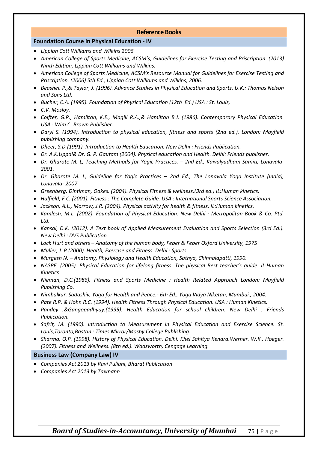### **Reference Books**

### **Foundation Course in Physical Education - IV**

- *Lippian Cott Williams and Wilkins 2006.*
- *American College of Sports Medicine, ACSM's, Guidelines for Exercise Testing and Priscription. (2013) Ninth Edition, Lippian Cott Williams and Wilkins.*
- *American College of Sports Medicine, ACSM's Resource Manual for Guidelines for Exercise Testing and Priscription. (2006) 5th Ed., Lippian Cott Williams and Wilkins, 2006.*
- *Beashel, P.,& Taylor, J. (1996). Advance Studies in Physical Education and Sports. U.K.: Thomas Nelson and Sons Ltd.*
- *Bucher, C.A. (1995). Foundation of Physical Education (12th Ed.) USA : St. Louis,*
- *C.V. Mosloy.*
- *Colfter, G.R., Hamilton, K.E., Magill R.A.,& Hamilton B.J. (1986). Contemporary Physical Education. USA : Wim C. Brown Publisher.*
- *Daryl S. (1994). Introduction to physical education, fitness and sports (2nd ed.). London: Mayfield publishing company.*
- *Dheer, S.D.(1991). Introduction to Health Education. New Delhi : Friends Publication.*
- *Dr. A.K.Uppal& Dr. G. P. Gautam (2004). Physical education and Health. Delhi: Friends publisher.*
- *Dr. Gharote M. L; Teaching Methods for Yogic Practices. – 2nd Ed., Kaivalyadham Samiti, Lonavala-2001.*
- *Dr. Gharote M. L; Guideline for Yogic Practices – 2nd Ed., The Lonavala Yoga Institute (India), Lonavala- 2007*
- *Greenberg, Dintiman, Oakes. (2004). Physical Fitness & wellness.(3rd ed.) IL:Human kinetics.*
- *Halfield, F.C. (2001). Fitness : The Complete Guide. USA : International Sports Science Association.*
- *Jackson, A.L., Morrow, J.R. (2004). Physical activity for health & fitness. IL:Human kinetics.*
- *Kamlesh, M.L. (2002). Foundation of Physical Education. New Delhi : Metropolitan Book & Co. Ptd. Ltd.*
- *Kansal, D.K. (2012). A Text book of Applied Measurement Evaluation and Sports Selection (3rd Ed.). New Delhi : DVS Publication.*
- *Lock Hurt and others – Anatomy of the human body, Feber & Feber Oxford University, 1975*
- *Muller, J. P.(2000). Health, Exercise and Fitness. Delhi : Sports.*
- *Murgesh N. – Anatomy, Physiology and Health Education, Sathya, Chinnalapatti, 1990.*
- *NASPE. (2005). Physical Education for lifelong fitness. The physical Best teacher's guide. IL:Human Kinetics*
- *Nieman, D.C.(1986). Fitness and Sports Medicine : Health Related Approach London: Mayfield Publishing Co.*
- *Nimbalkar. Sadashiv, Yoga for Health and Peace.- 6th Ed., Yoga Vidya Niketan, Mumbai., 2004.*
- *Pate R.R. & Hohn R.C. (1994). Health Fitness Through Physical Education. USA : Human Kinetics.*
- *Pandey ,&Gangopadhyay.(1995). Health Education for school children. New Delhi : Friends Publication.*
- *Safrit, M. (1990). Introduction to Measurement in Physical Education and Exercise Science. St. Louis,Toronto,Bastan : Times Mirror/Mosby College Publishing.*
- *Sharma, O.P. (1998). History of Physical Education. Delhi: Khel Sahitya Kendra.Werner. W.K., Hoeger. (2007). Fitness and Wellness. (8th ed.). Wadsworth, Cengage Learning.*

### **Business Law (Company Law) IV**

- *Companies Act 2013 by Ravi Puliani, Bharat Publication*
- *Companies Act 2013 by Taxmann*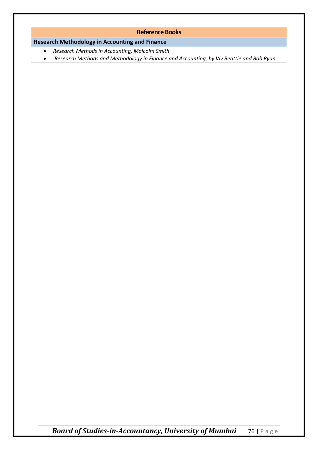### **Reference Books**

### **Research Methodology in Accounting and Finance**

- *Research Methods in Accounting, Malcolm Smith*
- *[Research Methods and Methodology in Finance and Accounting,](http://www.amazon.in/Research-Methods-Methodology-Finance-Accounting/dp/1861528817/ref=sr_1_7?s=books&ie=UTF8&qid=1494143151&sr=1-7&keywords=research+methodology+in+accounting+%26+Finance) by Viv Beattie and Bob Ryan*

*Board of Studies-in-Accountancy, University of Mumbai* 76 | Page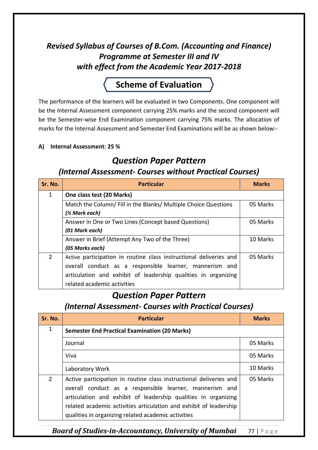## *Revised Syllabus of Courses of B.Com. (Accounting and Finance) Programme at Semester III and IV with effect from the Academic Year 2017-2018*

# **Scheme of Evaluation**

The performance of the learners will be evaluated in two Components. One component will be the Internal Assessment component carrying 25% marks and the second component will be the Semester-wise End Examination component carrying 75% marks. The allocation of marks for the Internal Assessment and Semester End Examinations will be as shown below:-

### **A) Internal Assessment**: **25 %**

## *Question Paper Pattern (Internal Assessment- Courses without Practical Courses)*

| Sr. No.        | <b>Particular</b>                                                  | <b>Marks</b> |
|----------------|--------------------------------------------------------------------|--------------|
| 1              | One class test (20 Marks)                                          |              |
|                | Match the Column/Fill in the Blanks/Multiple Choice Questions      | 05 Marks     |
|                | (1/ <sub>2</sub> Mark each)                                        |              |
|                | Answer in One or Two Lines (Concept based Questions)               | 05 Marks     |
|                | (01 Mark each)                                                     |              |
|                | Answer in Brief (Attempt Any Two of the Three)                     | 10 Marks     |
|                | (05 Marks each)                                                    |              |
| $\overline{2}$ | Active participation in routine class instructional deliveries and | 05 Marks     |
|                | overall conduct as a responsible learner, mannerism and            |              |
|                | articulation and exhibit of leadership qualities in organizing     |              |
|                | related academic activities                                        |              |

## *Question Paper Pattern*

*(Internal Assessment- Courses with Practical Courses)*

| Sr. No.      | <b>Particular</b>                                                                                                                                                                                                                                                                                                            | <b>Marks</b> |
|--------------|------------------------------------------------------------------------------------------------------------------------------------------------------------------------------------------------------------------------------------------------------------------------------------------------------------------------------|--------------|
| $\mathbf{1}$ | <b>Semester End Practical Examination (20 Marks)</b>                                                                                                                                                                                                                                                                         |              |
|              | Journal                                                                                                                                                                                                                                                                                                                      | 05 Marks     |
|              | Viva                                                                                                                                                                                                                                                                                                                         | 05 Marks     |
|              | Laboratory Work                                                                                                                                                                                                                                                                                                              | 10 Marks     |
| 2            | Active participation in routine class instructional deliveries and<br>overall conduct as a responsible learner, mannerism and<br>articulation and exhibit of leadership qualities in organizing<br>related academic activities articulation and exhibit of leadership<br>qualities in organizing related academic activities | 05 Marks     |

*Board of Studies-in-Accountancy, University of Mumbai* 77 | Page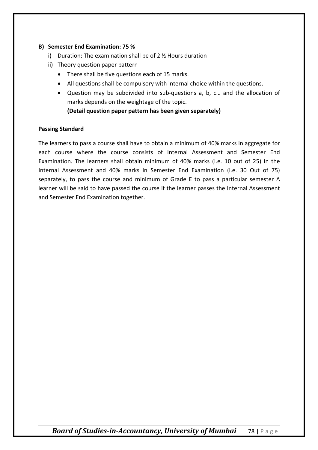### **B) Semester End Examination: 75 %**

- i) Duration: The examination shall be of 2 ½ Hours duration
- ii) Theory question paper pattern
	- There shall be five questions each of 15 marks.
	- All questions shall be compulsory with internal choice within the questions.
	- Question may be subdivided into sub-questions a, b, c… and the allocation of marks depends on the weightage of the topic.

**(Detail question paper pattern has been given separately)**

### **Passing Standard**

The learners to pass a course shall have to obtain a minimum of 40% marks in aggregate for each course where the course consists of Internal Assessment and Semester End Examination. The learners shall obtain minimum of 40% marks (i.e. 10 out of 25) in the Internal Assessment and 40% marks in Semester End Examination (i.e. 30 Out of 75) separately, to pass the course and minimum of Grade E to pass a particular semester A learner will be said to have passed the course if the learner passes the Internal Assessment and Semester End Examination together.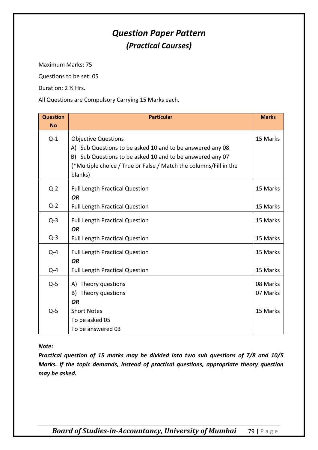# *Question Paper Pattern (Practical Courses)*

Maximum Marks: 75

Questions to be set: 05

Duration: 2 ½ Hrs.

All Questions are Compulsory Carrying 15 Marks each.

| <b>Question</b><br><b>No</b> | <b>Particular</b>                                                                                                                                                                                                                    | <b>Marks</b>         |
|------------------------------|--------------------------------------------------------------------------------------------------------------------------------------------------------------------------------------------------------------------------------------|----------------------|
| $Q-1$                        | <b>Objective Questions</b><br>A) Sub Questions to be asked 10 and to be answered any 08<br>B) Sub Questions to be asked 10 and to be answered any 07<br>(*Multiple choice / True or False / Match the columns/Fill in the<br>blanks) | 15 Marks             |
| $Q-2$                        | <b>Full Length Practical Question</b><br><b>OR</b>                                                                                                                                                                                   | 15 Marks             |
| $Q-2$                        | <b>Full Length Practical Question</b>                                                                                                                                                                                                | 15 Marks             |
| $Q-3$                        | <b>Full Length Practical Question</b><br><b>OR</b>                                                                                                                                                                                   | 15 Marks             |
| $Q-3$                        | <b>Full Length Practical Question</b>                                                                                                                                                                                                | 15 Marks             |
| $Q - 4$                      | <b>Full Length Practical Question</b><br><b>OR</b>                                                                                                                                                                                   | 15 Marks             |
| $Q - 4$                      | <b>Full Length Practical Question</b>                                                                                                                                                                                                | 15 Marks             |
| $Q-5$                        | A) Theory questions<br>B) Theory questions<br><b>OR</b>                                                                                                                                                                              | 08 Marks<br>07 Marks |
| $Q-5$                        | <b>Short Notes</b><br>To be asked 05<br>To be answered 03                                                                                                                                                                            | 15 Marks             |

*Note:* 

*Practical question of 15 marks may be divided into two sub questions of 7/8 and 10/5 Marks. If the topic demands, instead of practical questions, appropriate theory question may be asked.*